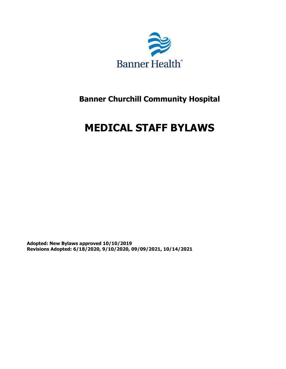

## **Banner Churchill Community Hospital**

# **MEDICAL STAFF BYLAWS**

**Adopted: New Bylaws approved 10/10/2019 Revisions Adopted: 6/18/2020, 9/10/2020, 09/09/2021, 10/14/2021**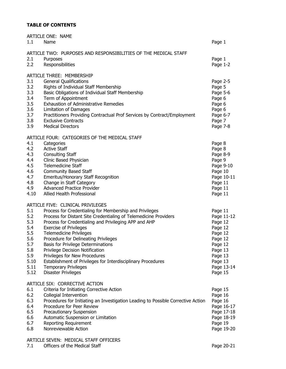### **TABLE OF CONTENTS**

| 1.1        | ARTICLE ONE: NAME<br>Name                                                        | Page 1             |
|------------|----------------------------------------------------------------------------------|--------------------|
|            | ARTICLE TWO: PURPOSES AND RESPONSIBILITIES OF THE MEDICAL STAFF                  |                    |
| 2.1        | Purposes                                                                         | Page 1             |
| 2.2        | Responsibilities                                                                 | Page 1-2           |
|            | ARTICLE THREE: MEMBERSHIP                                                        |                    |
| 3.1        | <b>General Qualifications</b>                                                    | Page 2-5           |
| 3.2        | Rights of Individual Staff Membership                                            | Page 5             |
| 3.3        | Basic Obligations of Individual Staff Membership                                 | Page 5-6           |
| 3.4        | Term of Appointment                                                              | Page 6             |
| 3.5        | <b>Exhaustion of Administrative Remedies</b>                                     | Page 6             |
| 3.6        | Limitation of Damages                                                            | Page 6             |
| 3.7        | Practitioners Providing Contractual Prof Services by Contract/Employment         | Page 6-7           |
| 3.8        | <b>Exclusive Contracts</b>                                                       | Page 7             |
| 3.9        | <b>Medical Directors</b>                                                         | Page 7-8           |
|            | ARTICLE FOUR: CATEGORIES OF THE MEDICAL STAFF                                    |                    |
| 4.1        | Categories                                                                       | Page 8             |
| 4.2<br>4.3 | <b>Active Staff</b>                                                              | Page 8             |
| 4.4        | <b>Consulting Staff</b><br>Clinic Based Physician                                | Page 8-9<br>Page 9 |
| 4.5        | <b>Telemedicine Staff</b>                                                        | Page 9-10          |
| 4.6        | <b>Community Based Staff</b>                                                     | Page 10            |
| 4.7        | Emeritus/Honorary Staff Recognition                                              | Page 10-11         |
| 4.8        | Change in Staff Category                                                         | Page 11            |
| 4.9        | <b>Advanced Practice Provider</b>                                                | Page 11            |
| 4.10       | Allied Health Professional                                                       | Page 11            |
|            | ARTICLE FIVE: CLINICAL PRIVILEGES                                                |                    |
| 5.1        | Process for Credentialing for Membership and Privileges                          | Page 11            |
| 5.2        | Process for Distant Site Credentialing of Telemedicine Providers                 | Page 11-12         |
| 5.3        | Process for Credentialing and Privileging APP and AHP                            | Page 12            |
| 5.4        | <b>Exercise of Privileges</b>                                                    | Page 12            |
| 5.5        | <b>Telemedicine Privileges</b>                                                   | Page 12            |
| 5.6        | Procedure for Delineating Privileges<br>Basis for Privilege Determinations       | Page 12            |
| 5.7<br>5.8 | Privilege Decision Notification                                                  | Page 12<br>Page 13 |
| 5.9        | Privileges for New Procedures                                                    | Page 13            |
| 5.10       | Establishment of Privileges for Interdisciplinary Procedures                     | Page 13            |
| 5.11       | <b>Temporary Privileges</b>                                                      | Page 13-14         |
| 5.12       | <b>Disaster Privileges</b>                                                       | Page 15            |
|            | ARTICLE SIX: CORRECTIVE ACTION                                                   |                    |
| 6.1        | Criteria for Initiating Corrective Action                                        | Page 15            |
| 6.2        | Collegial Intervention                                                           | Page 16            |
| 6.3        | Procedures for Initiating an Investigation Leading to Possible Corrective Action | Page 16            |
| 6.4        | Procedure for Peer Review                                                        | Page 16-17         |
| 6.5        | Precautionary Suspension                                                         | Page 17-18         |
| 6.6        | Automatic Suspension or Limitation                                               | Page 18-19         |
| 6.7        | Reporting Requirement                                                            | Page 19            |
| 6.8        | Nonreviewable Action                                                             | Page 19-20         |
|            |                                                                                  |                    |

### ARTICLE SEVEN: MEDICAL STAFF OFFICERS

7.1 Officers of the Medical Staff Page 20-21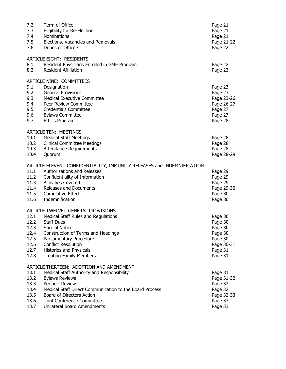| 7.2<br>7.3<br>7.4<br>7.5<br>7.6                              | Term of Office<br>Eligibility for Re-Election<br>Nominations<br>Elections, Vacancies and Removals<br>Duties of Officers                                                                                                                                                                        | Page 21<br>Page 21<br>Page 21<br>Page 21-22<br>Page 22                                  |
|--------------------------------------------------------------|------------------------------------------------------------------------------------------------------------------------------------------------------------------------------------------------------------------------------------------------------------------------------------------------|-----------------------------------------------------------------------------------------|
| 8.1<br>8.2                                                   | <b>ARTICLE EIGHT: RESIDENTS</b><br>Resident Physicians Enrolled in GME Program<br><b>Resident Affiliation</b>                                                                                                                                                                                  | Page 22<br>Page 23                                                                      |
| 9.1<br>9.2<br>9.3<br>9.4<br>9.5<br>9.6<br>9.7                | <b>ARTICLE NINE: COMMITTEES</b><br>Designation<br><b>General Provisions</b><br><b>Medical Executive Committee</b><br>Peer Review Committee<br><b>Credentials Committee</b><br><b>Bylaws Committee</b><br>Ethics Program                                                                        | Page 23<br>Page 23<br>Page 23-26<br>Page 26-27<br>Page 27<br>Page 27<br>Page 28         |
| 10.1<br>10.2<br>10.4                                         | <b>ARTICLE TEN: MEETINGS</b><br><b>Medical Staff Meetings</b><br><b>Clinical Committee Meetings</b><br>10.3 Attendance Requirements<br>Quorum                                                                                                                                                  | Page 28<br>Page 28<br>Page 28<br>Page 28-29                                             |
| 11.1<br>11.2<br>11.3<br>11.6                                 | ARTICLE ELEVEN: CONFIDENTIALITY, IMMUNITY RELEASES and INDEMNIFICATION<br>Authorizations and Releases<br>Confidentiality of Information<br>Activities Covered<br>11.4 Releases and Documents<br>11.5 Cumulative Effect<br>Indemnification                                                      | Page 29<br>Page 29<br>Page 29<br>Page 29-30<br>Page 30<br>Page 30                       |
| 12.1<br>12.2<br>12.3<br>12.4<br>12.5<br>12.6<br>12.7<br>12.8 | ARTICLE TWELVE: GENERAL PROVISIONS<br>Medical Staff Rules and Regulations<br><b>Staff Dues</b><br><b>Special Notice</b><br>Construction of Terms and Headings<br>Parliamentary Procedure<br><b>Conflict Resolution</b><br><b>Histories and Physicals</b><br><b>Treating Family Members</b>     | Page 30<br>Page 30<br>Page 30<br>Page 30<br>Page 30<br>Page 30-31<br>Page 31<br>Page 31 |
| 13.1<br>13.2<br>13.3<br>13.4<br>13.5<br>13.6<br>13.7         | ARTICLE THIRTEEN: ADOPTION AND AMENDMENT<br>Medical Staff Authority and Responsibility<br><b>Bylaws Reviews</b><br>Periodic Review<br>Medical Staff Direct Communication to the Board Process<br>Board of Directors Action<br>Joint Conference Committee<br><b>Unilateral Board Amendments</b> | Page 31<br>Page 31-32<br>Page 32<br>Page 32<br>Page 32-33<br>Page 33<br>Page 33         |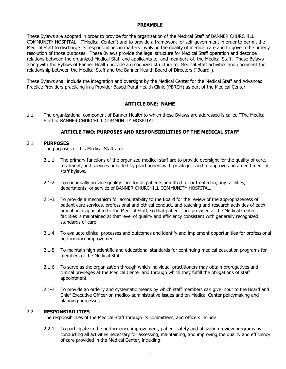### **PREAMBLE**

These Bylaws are adopted in order to provide for the organization of the Medical Staff of BANNER CHURCHILL COMMUNITY HOSPITAL ("Medical Center") and to provide a framework for self-government in order to permit the Medical Staff to discharge its responsibilities in matters involving the quality of medical care and to govern the orderly resolution of those purposes. These Bylaws provide the legal structure for Medical Staff operation and describe relations between the organized Medical Staff and applicants to, and members of, the Medical Staff. These Bylaws along with the Bylaws of Banner Health provide a recognized structure for Medical Staff activities and document the relationship between the Medical Staff and the Banner Health Board of Directors ("Board").

These Bylaws shall include the integration and oversight by the Medical Center for the Medical Staff and Advanced Practice Providers practicing in a Provider Based Rural Health Clinic (PBRCH) as part of the Medical Center.

### **ARTICLE ONE: NAME**

1.1 The organizational component of Banner Health to which these Bylaws are addressed is called "The Medical Staff of BANNER CHURCHILL COMMUNITY HOSPITAL."

### **ARTICLE TWO: PURPOSES AND RESPONSIBILITIES OF THE MEDICAL STAFF**

#### 2.1 **PURPOSES**

The purposes of this Medical Staff are:

- 2.1-1 The primary functions of the organized medical staff are to provide oversight for the quality of care, treatment, and services provided by practitioners with privileges, and to approve and amend medical staff bylaws.
- 2.1-2 To continually provide quality care for all patients admitted to, or treated in, any facilities, departments, or service of BANNER CHURCHILL COMMUNITY HOSPITAL.
- 2.1-3 To provide a mechanism for accountability to the Board for the review of the appropriateness of patient care services, professional and ethical conduct, and teaching and research activities of each practitioner appointed to the Medical Staff, so that patient care provided at the Medical Center facilities is maintained at that level of quality and efficiency consistent with generally recognized standards of care.
- 2.1-4 To evaluate clinical processes and outcomes and identify and implement opportunities for professional performance improvement.
- 2.1-5 To maintain high scientific and educational standards for continuing medical education programs for members of the Medical Staff.
- 2.1-6 To serve as the organization through which individual practitioners may obtain prerogatives and clinical privileges at the Medical Center and through which they fulfill the obligations of staff appointment.
- 2.1-7 To provide an orderly and systematic means by which staff members can give input to the Board and Chief Executive Officer on medico-administrative issues and on Medical Center policymaking and planning processes.

#### 2.2 **RESPONSIBILITIES**

The responsibilities of the Medical Staff through its committees, and officers include:

2.2-1 To participate in the performance improvement, patient safety and utilization review programs by conducting all activities necessary for assessing, maintaining, and improving the quality and efficiency of care provided in the Medical Center, including: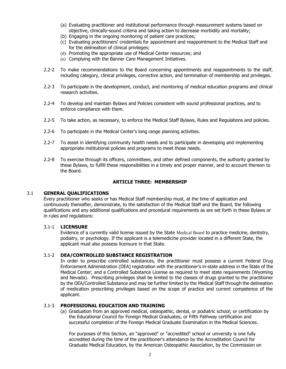- (a) Evaluating practitioner and institutional performance through measurement systems based on objective, clinically-sound criteria and taking action to decrease morbidity and mortality;
- (b) Engaging in the ongoing monitoring of patient care practices;
- (c) Evaluating practitioners' credentials for appointment and reappointment to the Medical Staff and for the delineation of clinical privileges;
- (d) Promoting the appropriate use of Medical Center resources; and
- (e) Complying with the Banner Care Management Initiatives.
- 2.2-2 To make recommendations to the Board concerning appointments and reappointments to the staff, including category, clinical privileges, corrective action, and termination of membership and privileges.
- 2.2-3 To participate in the development, conduct, and monitoring of medical education programs and clinical research activities.
- 2.2-4 To develop and maintain Bylaws and Policies consistent with sound professional practices, and to enforce compliance with them.
- 2.2-5 To take action, as necessary, to enforce the Medical Staff Bylaws, Rules and Regulations and policies.
- 2.2-6 To participate in the Medical Center's long range planning activities.
- 2.2-7 To assist in identifying community health needs and to participate in developing and implementing appropriate institutional policies and programs to meet those needs.
- 2.2-8 To exercise through its officers, committees, and other defined components, the authority granted by these Bylaws, to fulfill these responsibilities in a timely and proper manner, and to account thereon to the Board.

### **ARTICLE THREE: MEMBERSHIP**

### 3.1 **GENERAL QUALIFICATIONS**

Every practitioner who seeks or has Medical Staff membership must, at the time of application and continuously thereafter, demonstrate, to the satisfaction of the Medical Staff and the Board, the following qualifications and any additional qualifications and procedural requirements as are set forth in these Bylaws or in rules and regulations:

### 3.1-1 **LICENSURE**

Evidence of a currently valid license issued by the State Medical Board to practice medicine, dentistry, podiatry, or psychology. If the applicant is a telemedicine provider located in a different State, the applicant must also possess licensure in that State.

### 3.1-2 **DEA/CONTROLLED SUBSTANCE REGISTRATION**

In order to prescribe controlled substances, the practitioner must possess a current Federal Drug Enforcement Administration (DEA) registration with the practitioner's in-state address in the State of the Medical Center; and a Controlled Substance License as required to meet state requirements (Wyoming and Nevada). Prescribing privileges shall be limited to the classes of drugs granted to the practitioner by the DEA/Controlled Substance and may be further limited by the Medical Staff through the delineation of medication prescribing privileges based on the scope of practice and current competence of the applicant.

### 3.1-3 **PROFESSIONAL EDUCATION AND TRAINING**

(a) Graduation from an approved medical, osteopathic, dental, or podiatric school; or certification by the Educational Council for Foreign Medical Graduates; or Fifth Pathway certification and successful completion of the Foreign Medical Graduate Examination in the Medical Sciences.

For purposes of this Section, an "approved" or "accredited" school or university is one fully accredited during the time of the practitioner's attendance by the Accreditation Council for Graduate Medical Education, by the American Osteopathic Association, by the Commission on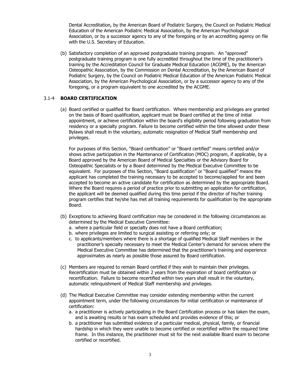Dental Accreditation, by the American Board of Podiatric Surgery, the Council on Podiatric Medical Education of the American Podiatric Medical Association, by the American Psychological Association, or by a successor agency to any of the foregoing or by an accrediting agency on file with the U.S. Secretary of Education.

(b) Satisfactory completion of an approved postgraduate training program. An "approved" postgraduate training program is one fully accredited throughout the time of the practitioner's training by the Accreditation Council for Graduate Medical Education (ACGME), by the American Osteopathic Association, by the Commission on Dental Accreditation, by the American Board of Podiatric Surgery, by the Council on Podiatric Medical Education of the American Podiatric Medical Association, by the American Psychological Association, or by a successor agency to any of the foregoing, or a program equivalent to one accredited by the ACGME.

### 3.1-4 **BOARD CERTIFICATION**

(a) Board certified or qualified for Board certification. Where membership and privileges are granted on the basis of Board qualification, applicant must be Board certified at the time of initial appointment, or achieve certification within the board's eligibility period following graduation from residency or a specialty program. Failure to become certified within the time allowed under these Bylaws shall result in the voluntary, automatic resignation of Medical Staff membership and privileges.

For purposes of this Section, "Board certification" or "Board certified" means certified and/or shows active participation in the Maintenance of Certification (MOC) program, if applicable, by a Board approved by the American Board of Medical Specialties or the Advisory Board for Osteopathic Specialists or by a Board determined by the Medical Executive Committee to be equivalent. For purposes of this Section, "Board qualification" or "Board qualified" means the applicant has completed the training necessary to be accepted to become/applied for and been accepted to become an active candidate for certification as determined by the appropriate Board. Where the Board requires a period of practice prior to submitting an application for certification, the applicant will be deemed qualified during this time period if the director of his/her training program certifies that he/she has met all training requirements for qualification by the appropriate Board.

- (b) Exceptions to achieving Board certification may be considered in the following circumstances as determined by the Medical Executive Committee:
	- a. where a particular field or specialty does not have a Board certification;
	- b. where privileges are limited to surgical assisting or referring only; or
	- c. to applicants/members where there is a shortage of qualified Medical Staff members in the practitioner's specialty necessary to meet the Medical Center's demand for services where the Medical Executive Committee has determined that the practitioner's training and experience approximates as nearly as possible those assured by Board certification.
- (c) Members are required to remain Board certified if they wish to maintain their privileges. Recertification must be obtained within 2 years from the expiration of board certification or recertification. Failure to become recertified within two years shall result in the voluntary, automatic relinquishment of Medical Staff membership and privileges.
- (d) The Medical Executive Committee may consider extending membership within the current appointment term, under the following circumstances for initial certification or maintenance of certification:
	- a. a practitioner is actively participating in the Board Certification process or has taken the exam, and is awaiting results or has exam scheduled and provides evidence of this; or
	- b. a practitioner has submitted evidence of a particular medical, physical, family, or financial hardship in which they were unable to become certified or recertified within the required time frame. In this instance, the practitioner must sit for the next available Board exam to become certified or recertified.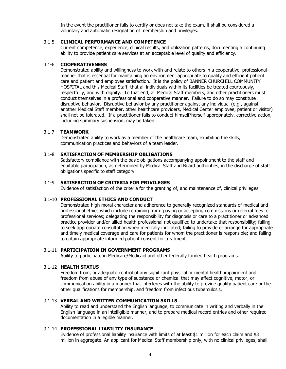In the event the practitioner fails to certify or does not take the exam, it shall be considered a voluntary and automatic resignation of membership and privileges.

#### 3.1-5 **CLINICAL PERFORMANCE AND COMPETENCE**

Current competence, experience, clinical results, and utilization patterns, documenting a continuing ability to provide patient care services at an acceptable level of quality and efficiency.

### 3.1-6 **COOPERATIVENESS**

Demonstrated ability and willingness to work with and relate to others in a cooperative, professional manner that is essential for maintaining an environment appropriate to quality and efficient patient care and patient and employee satisfaction. It is the policy of BANNER CHURCHILL COMMUNITY HOSPITAL and this Medical Staff, that all individuals within its facilities be treated courteously, respectfully, and with dignity. To that end, all Medical Staff members, and other practitioners must conduct themselves in a professional and cooperative manner. Failure to do so may constitute disruptive behavior. Disruptive behavior by any practitioner against any individual (e.g., against another Medical Staff member, other healthcare providers, Medical Center employee, patient or visitor) shall not be tolerated. If a practitioner fails to conduct himself/herself appropriately, corrective action, including summary suspension, may be taken.

#### 3.1-7 **TEAMWORK**

Demonstrated ability to work as a member of the healthcare team, exhibiting the skills, communication practices and behaviors of a team leader.

#### 3.1-8 **SATISFACTION OF MEMBERSHIP OBLIGATIONS**

Satisfactory compliance with the basic obligations accompanying appointment to the staff and equitable participation, as determined by Medical Staff and Board authorities, in the discharge of staff obligations specific to staff category.

### 3.1-9 **SATISFACTION OF CRITERIA FOR PRIVILEGES**

Evidence of satisfaction of the criteria for the granting of, and maintenance of, clinical privileges.

#### 3.1-10 **PROFESSIONAL ETHICS AND CONDUCT**

Demonstrated high moral character and adherence to generally recognized standards of medical and professional ethics which include refraining from: paying or accepting commissions or referral fees for professional services; delegating the responsibility for diagnosis or care to a practitioner or advanced practice provider and/or allied health professional not qualified to undertake that responsibility; failing to seek appropriate consultation when medically indicated; failing to provide or arrange for appropriate and timely medical coverage and care for patients for whom the practitioner is responsible; and failing to obtain appropriate informed patient consent for treatment.

#### 3.1-11 **PARTICIPATION IN GOVERNMENT PROGRAMS**

Ability to participate in Medicare/Medicaid and other federally funded health programs.

#### 3.1-12 **HEALTH STATUS**

Freedom from, or adequate control of any significant physical or mental health impairment and freedom from abuse of any type of substance or chemical that may affect cognitive, motor, or communication ability in a manner that interferes with the ability to provide quality patient care or the other qualifications for membership, and freedom from infectious tuberculosis.

### 3.1-13 **VERBAL AND WRITTEN COMMUNICATION SKILLS**

Ability to read and understand the English language, to communicate in writing and verbally in the English language in an intelligible manner, and to prepare medical record entries and other required documentation in a legible manner.

### 3.1-14 **PROFESSIONAL LIABILITY INSURANCE**

Evidence of professional liability insurance with limits of at least \$1 million for each claim and \$3 million in aggregate. An applicant for Medical Staff membership only, with no clinical privileges, shall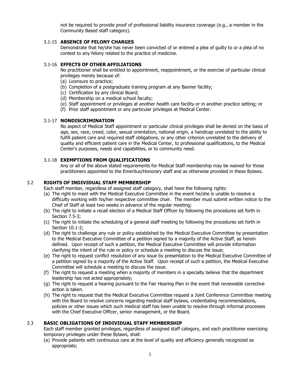not be required to provide proof of professional liability insurance coverage (e.g., a member in the Community Based staff category).

### 3.1-15 **ABSENCE OF FELONY CHARGES**

Demonstrate that he/she has never been convicted of or entered a plea of guilty to or a plea of no contest to any felony related to the practice of medicine.

### 3.1-16 **EFFECTS OF OTHER AFFILIATIONS**

No practitioner shall be entitled to appointment, reappointment, or the exercise of particular clinical privileges merely because of:

- (a) Licensure to practice;
- (b) Completion of a postgraduate training program at any Banner facility;
- (c) Certification by any clinical Board;
- (d) Membership on a medical school faculty;
- (e) Staff appointment or privileges at another health care facility or in another practice setting; or
- (f) Prior staff appointment or any particular privileges at Medical Center.

### 3.1-17 **NONDISCRIMINATION**

No aspect of Medical Staff appointment or particular clinical privileges shall be denied on the basis of age, sex, race, creed, color, sexual orientation, national origin, a handicap unrelated to the ability to fulfill patient care and required staff obligations, or any other criterion unrelated to the delivery of quality and efficient patient care in the Medical Center, to professional qualifications, to the Medical Center's purposes, needs and capabilities, or to community need.

### 3.1-18 **EXEMPTIONS FROM QUALIFICATIONS**

Any or all of the above stated requirements for Medical Staff membership may be waived for those practitioners appointed to the Emeritus/Honorary staff and as otherwise provided in these Bylaws.

### 3.2 **RIGHTS OF INDIVIDUAL STAFF MEMBERSHIP**

Each staff member, regardless of assigned staff category, shall have the following rights:

- (a) The right to meet with the Medical Executive Committee in the event he/she is unable to resolve a difficulty working with his/her respective committee chair. The member must submit written notice to the Chief of Staff at least two weeks in advance of the regular meeting;
- (b) The right to initiate a recall election of a Medical Staff Officer by following the procedures set forth in Section 7.5-3;
- (c) The right to initiate the scheduling of a general staff meeting by following the procedures set forth in Section 10.1-2;
- (d) The right to challenge any rule or policy established by the Medical Executive Committee by presentation to the Medical Executive Committee of a petition signed by a majority of the Active Staff, as herein defined. Upon receipt of such a petition, the Medical Executive Committee will provide information clarifying the intent of the rule or policy or schedule a meeting to discuss the issue;
- (e) The right to request conflict resolution of any issue by presentation to the Medical Executive Committee of a petition signed by a majority of the Active Staff. Upon receipt of such a petition, the Medical Executive Committee will schedule a meeting to discuss the issue.
- (f) The right to request a meeting when a majority of members in a specialty believe that the department leadership has not acted appropriately;
- (g) The right to request a hearing pursuant to the Fair Hearing Plan in the event that reviewable corrective action is taken.
- (h) The right to request that the Medical Executive Committee request a Joint Conference Committee meeting with the Board to resolve concerns regarding medical staff bylaws, credentialing recommendations, policies or other issues which such medical staff has been unable to resolve through informal processes with the Chief Executive Officer, senior management, or the Board.

### 3.3 **BASIC OBLIGATIONS OF INDIVIDUAL STAFF MEMBERSHIP**

Each staff member granted privileges, regardless of assigned staff category, and each practitioner exercising temporary privileges under these Bylaws, shall:

(a) Provide patients with continuous care at the level of quality and efficiency generally recognized as appropriate;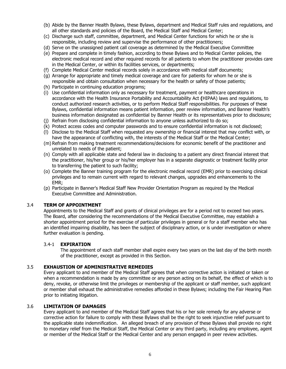- (b) Abide by the Banner Health Bylaws, these Bylaws, department and Medical Staff rules and regulations, and all other standards and policies of the Board, the Medical Staff and Medical Center;
- (c) Discharge such staff, committee, department, and Medical Center functions for which he or she is responsible, including review and supervise the performance of other practitioners;
- (d) Serve on the unassigned patient call coverage as determined by the Medical Executive Committee
- (e) Prepare and complete in timely fashion, according to these Bylaws and to Medical Center policies, the electronic medical record and other required records for all patients to whom the practitioner provides care in the Medical Center, or within its facilities services, or departments;
- (f) Complete Medical Center medical records solely in accordance with medical staff documents;
- (g) Arrange for appropriate and timely medical coverage and care for patients for whom he or she is responsible and obtain consultation when necessary for the health or safety of those patients;
- (h) Participate in continuing education programs;
- (i) Use confidential information only as necessary for treatment, payment or healthcare operations in accordance with the Health Insurance Portability and Accountability Act **(**HIPAA) laws and regulations, to conduct authorized research activities, or to perform Medical Staff responsibilities. For purposes of these Bylaws, confidential information means patient information, peer review information, and Banner Health's business information designated as confidential by Banner Health or its representatives prior to disclosure;
- (j) Refrain from disclosing confidential information to anyone unless authorized to do so;
- (k) Protect access codes and computer passwords and to ensure confidential information is not disclosed;
- (l) Disclose to the Medical Staff when requested any ownership or financial interest that may conflict with, or have the appearance of conflicting with, the interests of the Medical Staff or the Medical Center;
- (m) Refrain from making treatment recommendations/decisions for economic benefit of the practitioner and unrelated to needs of the patient;
- (n) Comply with all applicable state and federal law in disclosing to a patient any direct financial interest that the practitioner, his/her group or his/her employer has in a separate diagnostic or treatment facility prior to transferring the patient to such facility;
- (o) Complete the Banner training program for the electronic medical record (EMR) prior to exercising clinical privileges and to remain current with regard to relevant changes, upgrades and enhancements to the EMR;
- (p) Participate in Banner's Medical Staff New Provider Orientation Program as required by the Medical Executive Committee and Administration.

### 3.4 **TERM OF APPOINTMENT**

Appointments to the Medical Staff and grants of clinical privileges are for a period not to exceed two years. The Board, after considering the recommendations of the Medical Executive Committee, may establish a shorter appointment period for the exercise of particular privileges in general or for a staff member who has an identified impairing disability, has been the subject of disciplinary action, or is under investigation or where further evaluation is pending.

#### 3.4-1 **EXPIRATION**

The appointment of each staff member shall expire every two years on the last day of the birth month of the practitioner, except as provided in this Section.

#### 3.5 **EXHAUSTION OF ADMINISTRATIVE REMEDIES**

Every applicant to and member of the Medical Staff agrees that when corrective action is initiated or taken or when a recommendation is made by any committee or any person acting on its behalf, the effect of which is to deny, revoke, or otherwise limit the privileges or membership of the applicant or staff member, such applicant or member shall exhaust the administrative remedies afforded in these Bylaws; including the Fair Hearing Plan prior to initiating litigation.

#### 3.6 **LIMITATION OF DAMAGES**

Every applicant to and member of the Medical Staff agrees that his or her sole remedy for any adverse or corrective action for failure to comply with these Bylaws shall be the right to seek injunctive relief pursuant to the applicable state indemnification. An alleged breach of any provision of these Bylaws shall provide no right to monetary relief from the Medical Staff, the Medical Center or any third party, including any employee, agent or member of the Medical Staff or the Medical Center and any person engaged in peer review activities.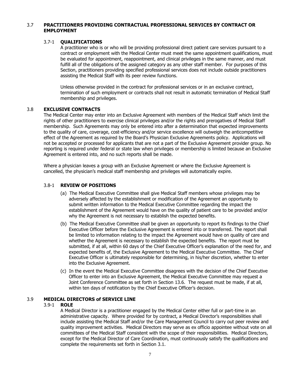### 3.7 **PRACTITIONERS PROVIDING CONTRACTUAL PROFESSIONAL SERVICES BY CONTRACT OR EMPLOYMENT**

### 3.7-1 **QUALIFICATIONS**

A practitioner who is or who will be providing professional direct patient care services pursuant to a contract or employment with the Medical Center must meet the same appointment qualifications, must be evaluated for appointment, reappointment, and clinical privileges in the same manner, and must fulfill all of the obligations of the assigned category as any other staff member. For purposes of this Section, practitioners providing specified professional services does not include outside practitioners assisting the Medical Staff with its peer review functions.

Unless otherwise provided in the contract for professional services or in an exclusive contract, termination of such employment or contracts shall not result in automatic termination of Medical Staff membership and privileges.

### 3.8 **EXCLUSIVE CONTRACTS**

The Medical Center may enter into an Exclusive Agreement with members of the Medical Staff which limit the rights of other practitioners to exercise clinical privileges and/or the rights and prerogatives of Medical Staff membership. Such Agreements may only be entered into after a determination that expected improvements to the quality of care, coverage, cost-efficiency and/or service excellence will outweigh the anticompetitive effect of the Agreement as required by the Board's Physician Exclusive Agreements policy. Applications will not be accepted or processed for applicants that are not a part of the Exclusive Agreement provider group. No reporting is required under federal or state law when privileges or membership is limited because an Exclusive Agreement is entered into, and no such reports shall be made.

Where a physician leaves a group with an Exclusive Agreement or where the Exclusive Agreement is cancelled, the physician's medical staff membership and privileges will automatically expire.

### 3.8-1 **REVIEW OF POSITIONS**

- (a) The Medical Executive Committee shall give Medical Staff members whose privileges may be adversely affected by the establishment or modification of the Agreement an opportunity to submit written information to the Medical Executive Committee regarding the impact the establishment of the Agreement would have on the quality of patient care to be provided and/or why the Agreement is not necessary to establish the expected benefits.
- (b) The Medical Executive Committee shall be given an opportunity to report its findings to the Chief Executive Officer before the Exclusive Agreement is entered into or transferred. The report shall be limited to information relating to the impact the Agreement would have on quality of care and whether the Agreement is necessary to establish the expected benefits. The report must be submitted, if at all, within 60 days of the Chief Executive Officer's explanation of the need for, and expected benefits of, the Exclusive Agreement to the Medical Executive Committee.The Chief Executive Officer is ultimately responsible for determining, in his/her discretion, whether to enter into the Exclusive Agreement.
- (c) In the event the Medical Executive Committee disagrees with the decision of the Chief Executive Officer to enter into an Exclusive Agreement, the Medical Executive Committee may request a Joint Conference Committee as set forth in Section 13.6. The request must be made, if at all, within ten days of notification by the Chief Executive Officer's decision.

### 3.9 **MEDICAL DIRECTORS of SERVICE LINE**

### 3.9-1 **ROLE**

A Medical Director is a practitioner engaged by the Medical Center either full or part-time in an administrative capacity. Where provided for by contract, a Medical Director's responsibilities shall include assisting the Medical Staff and/or the Care Management Council to carry out peer review and quality improvement activities. Medical Directors may serve as ex officio appointee without vote on all committees of the Medical Staff consistent with the scope of their responsibilities. Medical Directors, except for the Medical Director of Care Coordination, must continuously satisfy the qualifications and complete the requirements set forth in Section 3.1.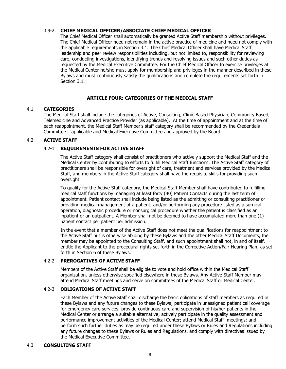### 3.9-2 **CHIEF MEDICAL OFFICER/ASSOCIATE CHIEF MEDICAL OFFICER**

The Chief Medical Officer shall automatically be granted Active Staff membership without privileges. The Chief Medical Officer need not remain in the active practice of medicine and need not comply with the applicable requirements in Section 3.1. The Chief Medical Officer shall have Medical Staff leadership and peer review responsibilities including, but not limited to, responsibility for reviewing care, conducting investigations, identifying trends and resolving issues and such other duties as requested by the Medical Executive Committee. For the Chief Medical Officer to exercise privileges at the Medical Center he/she must apply for membership and privileges in the manner described in these Bylaws and must continuously satisfy the qualifications and complete the requirements set forth in Section 3.1.

### **ARTICLE FOUR: CATEGORIES OF THE MEDICAL STAFF**

### 4.1 **CATEGORIES**

The Medical Staff shall include the categories of Active, Consulting, Clinic Based Physician, Community Based, Telemedicine and Advanced Practice Provider (as applicable). At the time of appointment and at the time of each reappointment, the Medical Staff Member's staff category shall be recommended by the Credentials Committee if applicable and Medical Executive Committee and approved by the Board.

### 4.2 **ACTIVE STAFF**

### 4.2-1 **REQUIREMENTS FOR ACTIVE STAFF**

The Active Staff category shall consist of practitioners who actively support the Medical Staff and the Medical Center by contributing to efforts to fulfill Medical Staff functions. The Active Staff category of practitioners shall be responsible for oversight of care, treatment and services provided by the Medical Staff, and members in the Active Staff category shall have the requisite skills for providing such oversight.

To qualify for the Active Staff category, the Medical Staff Member shall have contributed to fulfilling medical staff functions by managing at least forty (40) Patient Contacts during the last term of appointment. Patient contact shall include being listed as the admitting or consulting practitioner or providing medical management of a patient; and/or performing any procedure listed as a surgical operation, diagnostic procedure or nonsurgical procedure whether the patient is classified as an inpatient or an outpatient. A Member shall not be deemed to have accumulated more than one (1) patient contact per patient per admission.

In the event that a member of the Active Staff does not meet the qualifications for reappointment to the Active Staff but is otherwise abiding by these Bylaws and the other Medical Staff Documents, the member may be appointed to the Consulting Staff, and such appointment shall not, in and of itself, entitle the Applicant to the procedural rights set forth in the Corrective Action/Fair Hearing Plan; as set forth in Section 6 of these Bylaws.

### 4.2-2 **PREROGATIVES OF ACTIVE STAFF**

Members of the Active Staff shall be eligible to vote and hold office within the Medical Staff organization, unless otherwise specified elsewhere in these Bylaws. Any Active Staff Member may attend Medical Staff meetings and serve on committees of the Medical Staff or Medical Center.

### 4.2-3 **OBLIGATIONS OF ACTIVE STAFF**

Each Member of the Active Staff shall discharge the basic obligations of staff members as required in these Bylaws and any future changes to these Bylaws; participate in unassigned patient call coverage for emergency care services; provide continuous care and supervision of his/her patients in the Medical Center or arrange a suitable alternative; actively participate in the quality assessment and performance improvement activities of the Medical Center; attend Medical Staff meetings; and perform such further duties as may be required under these Bylaws or Rules and Regulations including any future changes to these Bylaws or Rules and Regulations, and comply with directives issued by the Medical Executive Committee.

### 4.3 **CONSULTING STAFF**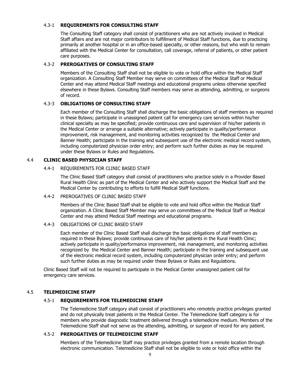### 4.3-1 **REQUIREMENTS FOR CONSULTING STAFF**

The Consulting Staff category shall consist of practitioners who are not actively involved in Medical Staff affairs and are not major contributors to fulfillment of Medical Staff functions, due to practicing primarily at another hospital or in an office-based specialty, or other reasons, but who wish to remain affiliated with the Medical Center for consultation, call coverage, referral of patients, or other patient care purposes.

### 4.3-2 **PREROGATIVES OF CONSULTING STAFF**

Members of the Consulting Staff shall not be eligible to vote or hold office within the Medical Staff organization. A Consulting Staff Member may serve on committees of the Medical Staff or Medical Center and may attend Medical Staff meetings and educational programs unless otherwise specified elsewhere in these Bylaws. Consulting Staff members may serve as attending, admitting, or surgeons of record.

### 4.3-3 **OBLIGATIONS OF CONSULTING STAFF**

Each member of the Consulting Staff shall discharge the basic obligations of staff members as required in these Bylaws; participate in unassigned patient call for emergency care services within his/her clinical specialty as may be specified; provide continuous care and supervision of his/her patients in the Medical Center or arrange a suitable alternative; actively participate in quality/performance improvement, risk management, and monitoring activities recognized by the Medical Center and Banner Health; participate in the training and subsequent use of the electronic medical record system, including computerized physician order entry; and perform such further duties as may be required under these Bylaws or Rules and Regulations.

### 4.4 **CLINIC BASED PHYSICIAN STAFF**

### 4.4-1 REQUIREMENTS FOR CLINIC BASED STAFF

The Clinic Based Staff category shall consist of practitioners who practice solely in a Provider Based Rural Health Clinic as part of the Medical Center and who actively support the Medical Staff and the Medical Center by contributing to efforts to fulfill Medical Staff functions.

### 4.4-2 PREROGATIVES OF CLINIC BASED STAFF

Members of the Clinic Based Staff shall be eligible to vote and hold office within the Medical Staff organization. A Clinic Based Staff Member may serve on committees of the Medical Staff or Medical Center and may attend Medical Staff meetings and educational programs.

### 4.4-3 OBLIGATIONS OF CLINIC BASED STAFF

Each member of the Clinic Based Staff shall discharge the basic obligations of staff members as required in these Bylaws; provide continuous care of his/her patients in the Rural Health Clinic; actively participate in quality/performance improvement, risk management, and monitoring activities recognized by the Medical Center and Banner Health; participate in the training and subsequent use of the electronic medical record system, including computerized physician order entry; and perform such further duties as may be required under these Bylaws or Rules and Regulations.

Clinic Based Staff will not be required to participate in the Medical Center unassigned patient call for emergency care services.

### 4.5 **TELEMEDICINE STAFF**

### 4.5-1 **REQUIREMENTS FOR TELEMEDICINE STAFF**

The Telemedicine Staff category shall consist of practitioners who remotely practice privileges granted and do not physically treat patients in the Medical Center. The Telemedicine Staff category is for members who provide diagnostic treatment delivered through a telemedicine medium. Members of the Telemedicine Staff shall not serve as the attending, admitting, or surgeon of record for any patient.

### 4.5-2 **PREROGATIVES OF TELEMEDICINE STAFF**

Members of the Telemedicine Staff may practice privileges granted from a remote location through electronic communication. Telemedicine Staff shall not be eligible to vote or hold office within the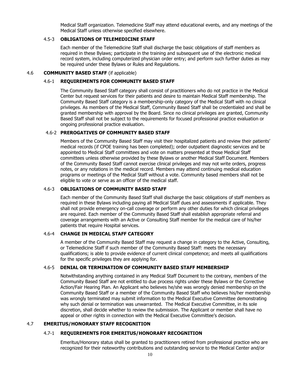Medical Staff organization. Telemedicine Staff may attend educational events, and any meetings of the Medical Staff unless otherwise specified elsewhere.

### 4.5-3 **OBLIGATIONS OF TELEMEDICINE STAFF**

Each member of the Telemedicine Staff shall discharge the basic obligations of staff members as required in these Bylaws; participate in the training and subsequent use of the electronic medical record system, including computerized physician order entry; and perform such further duties as may be required under these Bylaws or Rules and Regulations.

### 4.6 **COMMUNITY BASED STAFF** (if applicable)

#### 4.6-1 **REQUIREMENTS FOR COMMUNITY BASED STAFF**

The Community Based Staff category shall consist of practitioners who do not practice in the Medical Center but request services for their patients and desire to maintain Medical Staff membership. The Community Based Staff category is a membership-only category of the Medical Staff with no clinical privileges. As members of the Medical Staff, Community Based Staff shall be credentialed and shall be granted membership with approval by the Board. Since no clinical privileges are granted, Community Based Staff shall not be subject to the requirements for focused professional practice evaluation or ongoing professional practice evaluation.

### 4.6-2 **PREROGATIVES OF COMMUNITY BASED STAFF**

Members of the Community Based Staff may visit their hospitalized patients and review their patients' medical records (if CPOE training has been completed); order outpatient diagnostic services and be appointed to Medical Staff committees and vote on matters presented at those Medical Staff committees unless otherwise provided by these Bylaws or another Medical Staff Document. Members of the Community Based Staff cannot exercise clinical privileges and may not write orders, progress notes, or any notations in the medical record. Members may attend continuing medical education programs or meetings of the Medical Staff without a vote. Community based members shall not be eligible to vote or serve as an officer of the medical staff.

### 4.6-3 **OBLIGATIONS OF COMMUNITY BASED STAFF**

Each member of the Community Based Staff shall discharge the basic obligations of staff members as required in these Bylaws including paying all Medical Staff dues and assessments if applicable. They shall not provide emergency on-call coverage or perform any other duties for which clinical privileges are required. Each member of the Community Based Staff shall establish appropriate referral and coverage arrangements with an Active or Consulting Staff member for the medical care of his/her patients that require Hospital services.

### 4.6-4 **CHANGE IN MEDICAL STAFF CATEGORY**

A member of the Community Based Staff may request a change in category to the Active, Consulting, or Telemedicine Staff if such member of the Community Based Staff: meets the necessary qualifications; is able to provide evidence of current clinical competence; and meets all qualifications for the specific privileges they are applying for.

### 4.6-5 **DENIAL OR TERMINATION OF COMMUNITY BASED STAFF MEMBERSHIP**

Notwithstanding anything contained in any Medical Staff Document to the contrary, members of the Community Based Staff are not entitled to due process rights under these Bylaws or the Corrective Action/Fair Hearing Plan. An Applicant who believes he/she was wrongly denied membership on the Community Based Staff or a member of the Community Based Staff who believes his/her membership was wrongly terminated may submit information to the Medical Executive Committee demonstrating why such denial or termination was unwarranted. The Medical Executive Committee, in its sole discretion, shall decide whether to review the submission. The Applicant or member shall have no appeal or other rights in connection with the Medical Executive Committee's decision.

### 4.7 **EMERITUS/HONORARY STAFF RECOGNITION**

### 4.7-1 **REQUIREMENTS FOR EMERITUS/HONORARY RECOGNITION**

Emeritus/Honorary status shall be granted to practitioners retired from professional practice who are recognized for their noteworthy contributions and outstanding service to the Medical Center and/or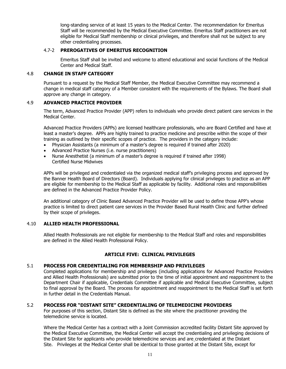long-standing service of at least 15 years to the Medical Center. The recommendation for Emeritus Staff will be recommended by the Medical Executive Committee. Emeritus Staff practitioners are not eligible for Medical Staff membership or clinical privileges, and therefore shall not be subject to any other credentialing processes.

### 4.7-2 **PREROGATIVES OF EMERITUS RECOGNITION**

Emeritus Staff shall be invited and welcome to attend educational and social functions of the Medical Center and Medical Staff.

#### 4.8 **CHANGE IN STAFF CATEGORY**

Pursuant to a request by the Medical Staff Member, the Medical Executive Committee may recommend a change in medical staff category of a Member consistent with the requirements of the Bylaws. The Board shall approve any change in category.

#### 4.9 **ADVANCED PRACTICE PROVIDER**

The term, Advanced Practice Provider (APP) refers to individuals who provide direct patient care services in the Medical Center.

Advanced Practice Providers (APPs) are licensed healthcare professionals, who are Board Certified and have at least a master's degree. APPs are highly trained to practice medicine and prescribe within the scope of their training as outlined by their specific scopes of practice. The providers in the category include:

- Physician Assistants (a minimum of a master's degree is required if trained after 2020)
- Advanced Practice Nurses (i.e. nurse practitioners)
- Nurse Anesthetist (a minimum of a master's degree is required if trained after 1998) Certified Nurse Midwives

APPs will be privileged and credentialed via the organized medical staff's privileging process and approved by the Banner Health Board of Directors (Board). Individuals applying for clinical privileges to practice as an APP are eligible for membership to the Medical Staff as applicable by facility. Additional roles and responsibilities are defined in the Advanced Practice Provider Policy.

An additional category of Clinic Based Advanced Practice Provider will be used to define those APP's whose practice is limited to direct patient care services in the Provider Based Rural Health Clinic and further defined by their scope of privileges.

#### 4.10 **ALLIED HEALTH PROFESSIONAL**

Allied Health Professionals are not eligible for membership to the Medical Staff and roles and responsibilities are defined in the Allied Health Professional Policy.

### **ARTICLE FIVE: CLINICAL PRIVILEGES**

#### 5.1 **PROCESS FOR CREDENTIALING FOR MEMBERSHIP AND PRIVILEGES**

Completed applications for membership and privileges (including applications for Advanced Practice Providers and Allied Health Professionals) are submitted prior to the time of initial appointment and reappointment to the Department Chair if applicable, Credentials Committee if applicable and Medical Executive Committee, subject to final approval by the Board. The process for appointment and reappointment to the Medical Staff is set forth in further detail in the Credentials Manual.

### 5.2 **PROCESS FOR "DISTANT SITE" CREDENTIALING OF TELEMEDICINE PROVIDERS**

For purposes of this section, Distant Site is defined as the site where the practitioner providing the telemedicine service is located.

Where the Medical Center has a contract with a Joint Commission accredited facility Distant Site approved by the Medical Executive Committee, the Medical Center will accept the credentialing and privileging decisions of the Distant Site for applicants who provide telemedicine services and are credentialed at the Distant Site. Privileges at the Medical Center shall be identical to those granted at the Distant Site, except for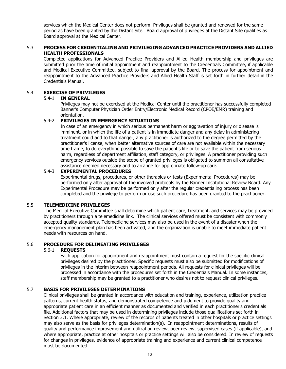services which the Medical Center does not perform. Privileges shall be granted and renewed for the same period as have been granted by the Distant Site. Board approval of privileges at the Distant Site qualifies as Board approval at the Medical Center.

### 5.3 **PROCESS FOR CREDENTIALING AND PRIVILEGING ADVANCED PRACTICE PROVIDERS AND ALLIED HEALTH PROFESSIONALS**

Completed applications for Advanced Practice Providers and Allied Health membership and privileges are submitted prior the time of initial appointment and reappointment to the Credentials Committee, if applicable and Medical Executive Committee, subject to final approval by the Board. The process for appointment and reappointment to the Advanced Practice Providers and Allied Health Staff is set forth in further detail in the Credentials Manual.

#### 5.4 **EXERCISE OF PRIVILEGES**

#### 5.4-1 **IN GENERAL**

Privileges may not be exercised at the Medical Center until the practitioner has successfully completed Banner's Computer Physician Order Entry/Electronic Medical Record (CPOE/EMR) training and orientation.

#### 5.4-2 **PRIVILEGES IN EMERGENCY SITUATIONS**

In case of an emergency in which serious permanent harm or aggravation of injury or disease is imminent, or in which the life of a patient is in immediate danger and any delay in administering treatment could add to that danger, any practitioner is authorized to the degree permitted by the practitioner's license, when better alternative sources of care are not available within the necessary time frame, to do everything possible to save the patient's life or to save the patient from serious harm, regardless of department affiliation, staff category, or privileges. A practitioner providing such emergency services outside the scope of granted privileges is obligated to summon all consultative assistance deemed necessary and to arrange for appropriate follow-up care.

#### 5.4-3 **EXPERIMENTAL PROCEDURES**

Experimental drugs, procedures, or other therapies or tests (Experimental Procedures) may be performed only after approval of the involved protocols by the Banner Institutional Review Board. Any Experimental Procedure may be performed only after the regular credentialing process has been completed and the privilege to perform or use such procedure has been granted to the practitioner.

### 5.5 **TELEMEDICINE PRIVILEGES**

The Medical Executive Committee shall determine which patient care, treatment, and services may be provided by practitioners through a telemedicine link. The clinical services offered must be consistent with commonly accepted quality standards. Telemedicine services may also be used in the event of a disaster when the emergency management plan has been activated, and the organization is unable to meet immediate patient needs with resources on hand.

#### 5.6 **PROCEDURE FOR DELINEATING PRIVILEGES**

#### 5.6-1 **REQUESTS**

Each application for appointment and reappointment must contain a request for the specific clinical privileges desired by the practitioner. Specific requests must also be submitted for modifications of privileges in the interim between reappointment periods. All requests for clinical privileges will be processed in accordance with the procedures set forth in the Credentials Manual. In some instances, staff membership may be granted to a practitioner who desires not to request clinical privileges.

### 5.7 **BASIS FOR PRIVILEGES DETERMINATIONS**

Clinical privileges shall be granted in accordance with education and training, experience, utilization practice patterns, current health status, and demonstrated competence and judgment to provide quality and appropriate patient care in an efficient manner as documented and verified in each practitioner's credentials file. Additional factors that may be used in determining privileges include those qualifications set forth in Section 3.1. Where appropriate, review of the records of patients treated in other hospitals or practice settings may also serve as the basis for privileges determination(s). In reappointment determinations, results of quality and performance improvement and utilization review, peer review, supervised cases (if applicable), and where appropriate, practice at other hospitals or practice settings will also be considered. In review of requests for changes in privileges, evidence of appropriate training and experience and current clinical competence must be documented.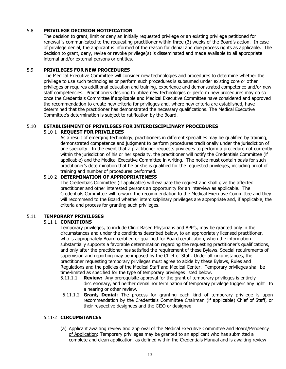### 5.8 **PRIVILEGE DECISION NOTIFICATION**

The decision to grant, limit or deny an initially requested privilege or an existing privilege petitioned for renewal is communicated to the requesting practitioner within three (3) weeks of the Board's action. In case of privilege denial, the applicant is informed of the reason for denial and due process rights as applicable. The decision to grant, deny, revise or revoke privilege(s) is disseminated and made available to all appropriate internal and/or external persons or entities.

### 5.9 **PRIVILEGES FOR NEW PROCEDURES**

The Medical Executive Committee will consider new technologies and procedures to determine whether the privilege to use such technologies or perform such procedures is subsumed under existing core or other privileges or requires additional education and training, experience and demonstrated competence and/or new staff competencies. Practitioners desiring to utilize new technologies or perform new procedures may do so once the Credentials Committee if applicable and Medical Executive Committee have considered and approved the recommendation to create new criteria for privileges and, where new criteria are established, have determined that the practitioner has demonstrated the necessary qualifications. The Medical Executive Committee's determination is subject to ratification by the Board.

### 5.10 **ESTABLISHMENT OF PRIVILEGES FOR INTERDISCIPLINARY PROCEDURES**

### 5.10-1 **REQUEST FOR PRIVILEGES**

As a result of emerging technology, practitioners in different specialties may be qualified by training, demonstrated competence and judgment to perform procedures traditionally under the jurisdiction of one specialty. In the event that a practitioner requests privileges to perform a procedure not currently within the jurisdiction of his or her specialty, the practitioner will notify the Credentials Committee (if applicable) and the Medical Executive Committee in writing. The notice must contain basis for such practitioner's determination that he or she is qualified for the requested privileges, including proof of training and number of procedures performed.

### 5.10-2 **DETERMINATION OF APPROPRIATENESS**

The Credentials Committee (if applicable) will evaluate the request and shall give the affected practitioner and other interested persons an opportunity for an interview as applicable. The Credentials Committee will forward the recommendation to the Medical Executive Committee and they will recommend to the Board whether interdisciplinary privileges are appropriate and, if applicable, the criteria and process for granting such privileges.

### 5.11 **TEMPORARY PRIVILEGES**

### 5.11-1 **CONDITIONS**

Temporary privileges, to include Clinic Based Physicians and APP's, may be granted only in the circumstances and under the conditions described below, to an appropriately licensed practitioner, who is appropriately Board certified or qualified for Board certification, when the information substantially supports a favorable determination regarding the requesting practitioner's qualifications, and only after the practitioner has satisfied the requirement of these Bylaws. Special requirements of supervision and reporting may be imposed by the Chief of Staff. Under all circumstances, the practitioner requesting temporary privileges must agree to abide by these Bylaws, Rules and Regulations and the policies of the Medical Staff and Medical Center. Temporary privileges shall be time-limited as specified for the type of temporary privileges listed below.

- 5.11.1.1 **Review:** Any prerequisite approval for the grant of temporary privileges is entirely discretionary, and neither denial nor termination of temporary privilege triggers any right to a hearing or other review.
- 5.11.1.2 **Grant, Denial:** The process for granting each kind of temporary privilege is upon recommendation by the Credentials Committee Chairman (if applicable) Chief of Staff, or their respective designees and the CEO or designee.

### 5.11-2 **CIRCUMSTANCES**

(a) Applicant awaiting review and approval of the Medical Executive Committee and Board/Pendency of Application: Temporary privileges may be granted to an applicant who has submitted a complete and clean application, as defined within the Credentials Manual and is awaiting review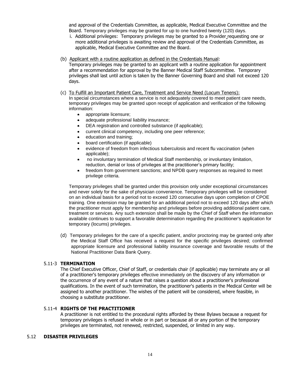and approval of the Credentials Committee, as applicable, Medical Executive Committee and the Board. Temporary privileges may be granted for up to one hundred twenty (120) days.

- i. Additional privileges: Temporary privileges may be granted to a Provider requesting one or more additional privileges is awaiting review and approval of the Credentials Committee, as applicable, Medical Executive Committee and the Board.
- (b) Applicant with a routine application as defined in the Credentials Manual:

Temporary privileges may be granted to an applicant with a routine application for appointment after a recommendation for approval by the Banner Medical Staff Subcommittee. Temporary privileges shall last until action is taken by the Banner Governing Board and shall not exceed 120 days.

(c) To Fulfill an Important Patient Care, Treatment and Service Need (Locum Tenens): In special circumstances where a service is not adequately covered to meet patient care needs, temporary privileges may be granted upon receipt of application and verification of the following information:

- appropriate licensure:
- adequate professional liability insurance;
- DEA registration and controlled substance (if applicable);
- current clinical competency, including one peer reference;
- education and training;
- board certification (if applicable)
- evidence of freedom from infectious tuberculosis and recent flu vaccination (when applicable);
- no involuntary termination of Medical Staff membership, or involuntary limitation, reduction, denial or loss of privileges at the practitioner's primary facility;
- freedom from government sanctions; and NPDB query responses as required to meet privilege criteria.

Temporary privileges shall be granted under this provision only under exceptional circumstances and never solely for the sake of physician convenience. Temporary privileges will be considered on an individual basis for a period not to exceed 120 consecutive days upon completion of CPOE training. One extension may be granted for an additional period not to exceed 120 days after which the practitioner must apply for membership and privileges before providing additional patient care, treatment or services. Any such extension shall be made by the Chief of Staff when the information available continues to support a favorable determination regarding the practitioner's application for temporary (locums) privileges.

(d) Temporary privileges for the care of a specific patient, and/or proctoring may be granted only after the Medical Staff Office has received a request for the specific privileges desired; confirmed appropriate licensure and professional liability insurance coverage and favorable results of the National Practitioner Data Bank Query.

### 5.11-3 **TERMINATION**

The Chief Executive Officer, Chief of Staff, or credentials chair (if applicable) may terminate any or all of a practitioner's temporary privileges effective immediately on the discovery of any information or the occurrence of any event of a nature that raises a question about a practitioner's professional qualifications. In the event of such termination, the practitioner's patients in the Medical Center will be assigned to another practitioner. The wishes of the patient will be considered, where feasible, in choosing a substitute practitioner.

### 5.11-4 **RIGHTS OF THE PRACTITIONER**

A practitioner is not entitled to the procedural rights afforded by these Bylaws because a request for temporary privileges is refused in whole or in part or because all or any portion of the temporary privileges are terminated, not renewed, restricted, suspended, or limited in any way.

#### 5.12 **DISASTER PRIVILEGES**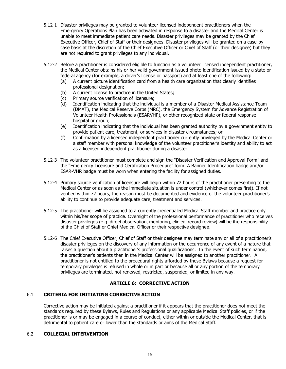- 5.12-1 Disaster privileges may be granted to volunteer licensed independent practitioners when the Emergency Operations Plan has been activated in response to a disaster and the Medical Center is unable to meet immediate patient care needs. Disaster privileges may be granted by the Chief Executive Officer, Chief of Staff or their designees. Disaster privileges will be granted on a case-bycase basis at the discretion of the Chief Executive Officer or Chief of Staff (or their designee) but they are not required to grant privileges to any individual.
- 5.12-2 Before a practitioner is considered eligible to function as a volunteer licensed independent practitioner, the Medical Center obtains his or her valid government-issued photo identification issued by a state or federal agency (for example, a driver's license or passport) and at least one of the following:
	- (a) A current picture identification card from a health care organization that clearly identifies professional designation;
	- (b) A current license to practice in the United States;
	- (c) Primary source verification of licensure;
	- (d) Identification indicating that the individual is a member of a Disaster Medical Assistance Team (DMAT), the Medical Reserve Corps (MRC), the Emergency System for Advance Registration of Volunteer Health Professionals (ESARVHP), or other recognized state or federal response hospital or group;
	- (e) Identification indicating that the individual has been granted authority by a government entity to provide patient care, treatment, or services in disaster circumstances; or
	- (f) Confirmation by a licensed independent practitioner currently privileged by the Medical Center or a staff member with personal knowledge of the volunteer practitioner's identity and ability to act as a licensed independent practitioner during a disaster.
- 5.12-3 The volunteer practitioner must complete and sign the "Disaster Verification and Approval Form" and the "Emergency Licensure and Certification Procedure" form. A Banner Identification badge and/or ESAR-VHR badge must be worn when entering the facility for assigned duties.
- 5.12-4 Primary source verification of licensure will begin within 72 hours of the practitioner presenting to the Medical Center or as soon as the immediate situation is under control (whichever comes first). If not verified within 72 hours, the reason must be documented and evidence of the volunteer practitioner's ability to continue to provide adequate care, treatment and services.
- 5.12-5 The practitioner will be assigned to a currently credentialed Medical Staff member and practice only within his/her scope of practice. Oversight of the professional performance of practitioner who receives disaster privileges (e.g. direct observation, mentoring, clinical record review) will be the responsibility of the Chief of Staff or Chief Medical Officer or their respective designee.
- 5.12-6 The Chief Executive Officer, Chief of Staff or their designee may terminate any or all of a practitioner's disaster privileges on the discovery of any information or the occurrence of any event of a nature that raises a question about a practitioner's professional qualifications. In the event of such termination, the practitioner's patients then in the Medical Center will be assigned to another practitioner. A practitioner is not entitled to the procedural rights afforded by these Bylaws because a request for temporary privileges is refused in whole or in part or because all or any portion of the temporary privileges are terminated, not renewed, restricted, suspended, or limited in any way.

### **ARTICLE 6: CORRECTIVE ACTION**

### 6.1 **CRITERIA FOR INITIATING CORRECTIVE ACTION**

Corrective action may be initiated against a practitioner if it appears that the practitioner does not meet the standards required by these Bylaws, Rules and Regulations or any applicable Medical Staff policies, or if the practitioner is or may be engaged in a course of conduct, either within or outside the Medical Center, that is detrimental to patient care or lower than the standards or aims of the Medical Staff.

### 6.2 **COLLEGIAL INTERVENTION**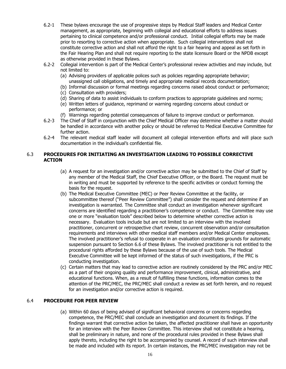- 6.2-1 These bylaws encourage the use of progressive steps by Medical Staff leaders and Medical Center management, as appropriate, beginning with collegial and educational efforts to address issues pertaining to clinical competence and/or professional conduct. Initial collegial efforts may be made prior to resorting to corrective action when appropriate. Such collegial interventions shall not constitute corrective action and shall not afford the right to a fair hearing and appeal as set forth in the Fair Hearing Plan and shall not require reporting to the state licensure Board or the NPDB except as otherwise provided in these Bylaws.
- 6.2-2 Collegial intervention is part of the Medical Center's professional review activities and may include, but not limited to:
	- (a) Advising providers of applicable polices such as policies regarding appropriate behavior; unassigned call obligations, and timely and appropriate medical records documentation;
	- (b) Informal discussion or formal meetings regarding concerns raised about conduct or performance;
	- (c) Consultation with providers;
	- (d) Sharing of data to assist individuals to conform practices to appropriate guidelines and norms;
	- (e) Written letters of guidance, reprimand or warning regarding concerns about conduct or performance; or
	- (f) Warnings regarding potential consequences of failure to improve conduct or performance.
- 6.2-3 The Chief of Staff in conjunction with the Chief Medical Officer may determine whether a matter should be handled in accordance with another policy or should be referred to Medical Executive Committee for further action.
- 6.2-4 The relevant medical staff leader will document all collegial intervention efforts and will place such documentation in the individual's confidential file.

### 6.3 **PROCEDURES FOR INITIATING AN INVESTIGATION LEADING TO POSSIBLE CORRECTIVE ACTION**

- (a) A request for an investigation and/or corrective action may be submitted to the Chief of Staff by any member of the Medical Staff, the Chief Executive Officer, or the Board. The request must be in writing and must be supported by reference to the specific activities or conduct forming the basis for the request.
- (b) The Medical Executive Committee (MEC) or Peer Review Committee at the facility, or subcommittee thereof ("Peer Review Committee") shall consider the request and determine if an investigation is warranted. The Committee shall conduct an investigation whenever significant concerns are identified regarding a practitioner's competence or conduct. The Committee may use one or more "evaluation tools" described below to determine whether corrective action is necessary. Evaluation tools include but are not limited to an interview with the involved practitioner, concurrent or retrospective chart review, concurrent observation and/or consultation requirements and interviews with other medical staff members and/or Medical Center employees. The involved practitioner's refusal to cooperate in an evaluation constitutes grounds for automatic suspension pursuant to Section 6.6 of these Bylaws. The involved practitioner is not entitled to the procedural rights afforded by these Bylaws because of the use of such tools. The Medical Executive Committee will be kept informed of the status of such investigations, if the PRC is conducting investigation.
- (c) Certain matters that may lead to corrective action are routinely considered by the PRC and/or MEC as a part of their ongoing quality and performance improvement, clinical, administrative, and educational functions. When, as a result of fulfilling these functions, information comes to the attention of the PRC/MEC, the PRC/MEC shall conduct a review as set forth herein, and no request for an investigation and/or corrective action is required.

### 6.4 **PROCEDURE FOR PEER REVIEW**

(a) Within 60 days of being advised of significant behavioral concerns or concerns regarding competence, the PRC/MEC shall conclude an investigation and document its findings. If the findings warrant that corrective action be taken, the affected practitioner shall have an opportunity for an interview with the Peer Review Committee. This interview shall not constitute a hearing, shall be preliminary in nature, and none of the procedural rules provided in these Bylaws shall apply thereto, including the right to be accompanied by counsel. A record of such interview shall be made and included with its report. In certain instances, the PRC/MEC investigation may not be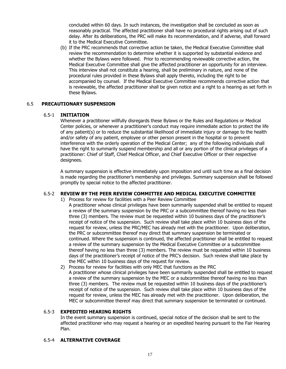concluded within 60 days. In such instances, the investigation shall be concluded as soon as reasonably practical. The affected practitioner shall have no procedural rights arising out of such delay. After its deliberations, the PRC will make its recommendation, and if adverse, shall forward it to the Medical Executive Committee.

(b) If the PRC recommends that corrective action be taken, the Medical Executive Committee shall review the recommendation to determine whether it is supported by substantial evidence and whether the Bylaws were followed. Prior to recommending reviewable corrective action, the Medical Executive Committee shall give the affected practitioner an opportunity for an interview. This interview shall not constitute a hearing, shall be preliminary in nature, and none of the procedural rules provided in these Bylaws shall apply thereto, including the right to be accompanied by counsel. If the Medical Executive Committee recommends corrective action that is reviewable, the affected practitioner shall be given notice and a right to a hearing as set forth in these Bylaws.

### 6.5 **PRECAUTIONARY SUSPENSION**

### 6.5-1 **INITIATION**

Whenever a practitioner willfully disregards these Bylaws or the Rules and Regulations or Medical Center policies, or whenever a practitioner's conduct may require immediate action to protect the life of any patient(s) or to reduce the substantial likelihood of immediate injury or damage to the health and/or safety of any patient, employee or other person present in the hospital or to prevent interference with the orderly operation of the Medical Center; any of the following individuals shall have the right to summarily suspend membership and all or any portion of the clinical privileges of a practitioner: Chief of Staff, Chief Medical Officer, and Chief Executive Officer or their respective designees.

A summary suspension is effective immediately upon imposition and until such time as a final decision is made regarding the practitioner's membership and privileges. Summary suspension shall be followed promptly by special notice to the affected practitioner.

### 6.5-2 **REVIEW BY THE PEER REVIEW COMMITTEE AND MEDICAL EXECUTIVE COMMITTEE**

- 1) Process for review for facilities with a Peer Review Committee
	- A practitioner whose clinical privileges have been summarily suspended shall be entitled to request a review of the summary suspension by the PRC or a subcommittee thereof having no less than three (3) members. The review must be requested within 10 business days of the practitioner's receipt of notice of the suspension. Such review shall take place within 10 business days of the request for review, unless the PRC/MEC has already met with the practitioner. Upon deliberation, the PRC or subcommittee thereof may direct that summary suspension be terminated or continued. Where the suspension is continued, the affected practitioner shall be entitled to request a review of the summary suspension by the Medical Executive Committee or a subcommittee thereof having no less than three (3) members. The review must be requested within 10 business days of the practitioner's receipt of notice of the PRC's decision. Such review shall take place by the MEC within 10 business days of the request for review.
- 2) Process for review for facilities with only MEC that functions as the PRC A practitioner whose clinical privileges have been summarily suspended shall be entitled to request a review of the summary suspension by the MEC or a subcommittee thereof having no less than three (3) members. The review must be requested within 10 business days of the practitioner's receipt of notice of the suspension. Such review shall take place within 10 business days of the request for review, unless the MEC has already met with the practitioner. Upon deliberation, the MEC or subcommittee thereof may direct that summary suspension be terminated or continued.

### 6.5-3 **EXPEDITED HEARING RIGHTS**

In the event summary suspension is continued, special notice of the decision shall be sent to the affected practitioner who may request a hearing or an expedited hearing pursuant to the Fair Hearing Plan.

### 6.5-4 **ALTERNATIVE COVERAGE**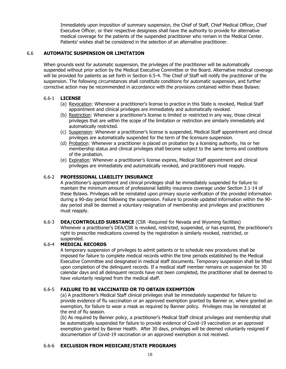Immediately upon imposition of summary suspension, the Chief of Staff, Chief Medical Officer, Chief Executive Officer, or their respective designees shall have the authority to provide for alternative medical coverage for the patients of the suspended practitioner who remain in the Medical Center. Patients' wishes shall be considered in the selection of an alternative practitioner.

### 6.6 **AUTOMATIC SUSPENSION OR LIMITATION**

When grounds exist for automatic suspension, the privileges of the practitioner will be automatically suspended without prior action by the Medical Executive Committee or the Board. Alternative medical coverage will be provided for patients as set forth in Section 6.5-4. The Chief of Staff will notify the practitioner of the suspension. The following circumstances shall constitute conditions for automatic suspension, and further corrective action may be recommended in accordance with the provisions contained within these Bylaws:

### 6.6-1 **LICENSE**

- (a) Revocation: Whenever a practitioner's license to practice in this State is revoked, Medical Staff appointment and clinical privileges are immediately and automatically revoked.
- (b) Restriction: Whenever a practitioner's license is limited or restricted in any way, those clinical privileges that are within the scope of the limitation or restriction are similarly immediately and automatically restricted.
- (c) Suspension: Whenever a practitioner's license is suspended, Medical Staff appointment and clinical privileges are automatically suspended for the term of the licensure suspension.
- (d) Probation: Whenever a practitioner is placed on probation by a licensing authority, his or her membership status and clinical privileges shall become subject to the same terms and conditions of the probation.
- (e) Expiration: Whenever a practitioner's license expires, Medical Staff appointment and clinical privileges are immediately and automatically revoked, and practitioners must reapply.

### 6.6-2 **PROFESSIONAL LIABILITY INSURANCE**

A practitioner's appointment and clinical privileges shall be immediately suspended for failure to maintain the minimum amount of professional liability insurance coverage under Section 3.1-14 of these Bylaws. Privileges will be reinstated upon primary source verification of the provided information during a 90-day period following the suspension. Failure to provide updated information within the 90 day period shall be deemed a voluntary resignation of membership and privileges and practitioners must reapply.

6.6-3 **DEA/CONTROLLED SUBSTANCE** (CSR -Required for Nevada and Wyoming facilities) Whenever a practitioner's DEA/CSR is revoked, restricted, suspended, or has expired, the practitioner's right to prescribe medications covered by the registration is similarly revoked, restricted, or suspended.

### 6.6-4 **MEDICAL RECORDS**

A temporary suspension of privileges to admit patients or to schedule new procedures shall be imposed for failure to complete medical records within the time periods established by the Medical Executive Committee and designated in medical staff documents. Temporary suspension shall be lifted upon completion of the delinquent records. If a medical staff member remains on suspension for 30 calendar days and all delinquent records have not been completed, the practitioner shall be deemed to have voluntarily resigned from the medical staff.

### 6.6-5 **FAILURE TO BE VACCINATED OR TO OBTAIN EXEMPTION**

(a) A practitioner's Medical Staff clinical privileges shall be immediately suspended for failure to provide evidence of flu vaccination or an approved exemption granted by Banner or, where granted an exemption, for failure to wear a mask as required by Banner policy. Privileges may be reinstated at the end of flu season.

(b) As required by Banner policy, a practitioner's Medical Staff clinical privileges and membership shall be automatically suspended for failure to provide evidence of Covid-19 vaccination or an approved exemption granted by Banner Health. After 30 days, privileges will be deemed voluntarily resigned if documentation of Covid-19 vaccination or an approved exemption is not received.

### 6.6-6 **EXCLUSION FROM MEDICARE/STATE PROGRAMS**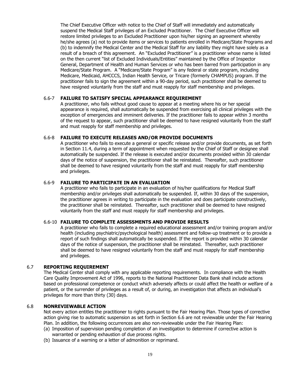The Chief Executive Officer with notice to the Chief of Staff will immediately and automatically suspend the Medical Staff privileges of an Excluded Practitioner. The Chief Executive Officer will restore limited privileges to an Excluded Practitioner upon his/her signing an agreement whereby he/she agrees (a) not to provide items or services to patients enrolled in Medicare/State Programs and (b) to indemnify the Medical Center and the Medical Staff for any liability they might have solely as a result of a breach of this agreement. An "Excluded Practitioner" is a practitioner whose name is listed on the then current "list of Excluded Individuals/Entities" maintained by the Office of Inspector General, Department of Health and Human Services or who has been barred from participation in any Medicare/State Program. A "Medicare/State Program" is any federal or state program, including Medicare, Medicaid, AHCCCS, Indian Health Service, or Tricare (formerly CHAMPUS) program. If the practitioner fails to sign the agreement within a 90-day period, such practitioner shall be deemed to have resigned voluntarily from the staff and must reapply for staff membership and privileges.

### 6.6-7 **FAILURE TO SATISFY SPECIAL APPEARANCE REQUIREMENT**

A practitioner, who fails without good cause to appear at a meeting where his or her special appearance is required, shall automatically be suspended from exercising all clinical privileges with the exception of emergencies and imminent deliveries. If the practitioner fails to appear within 3 months of the request to appear, such practitioner shall be deemed to have resigned voluntarily from the staff and must reapply for staff membership and privileges.

#### 6.6-8 **FAILURE TO EXECUTE RELEASES AND/OR PROVIDE DOCUMENTS**

A practitioner who fails to execute a general or specific release and/or provide documents, as set forth in Section 11.4, during a term of appointment when requested by the Chief of Staff or designee shall automatically be suspended. If the release is executed and/or documents provided within 30 calendar days of the notice of suspension, the practitioner shall be reinstated. Thereafter, such practitioner shall be deemed to have resigned voluntarily from the staff and must reapply for staff membership and privileges.

#### 6.6-9 **FAILURE TO PARTICIPATE IN AN EVALUATION**

A practitioner who fails to participate in an evaluation of his/her qualifications for Medical Staff membership and/or privileges shall automatically be suspended. If, within 30 days of the suspension, the practitioner agrees in writing to participate in the evaluation and does participate constructively, the practitioner shall be reinstated. Thereafter, such practitioner shall be deemed to have resigned voluntarily from the staff and must reapply for staff membership and privileges.

#### 6.6-10 **FAILURE TO COMPLETE ASSESSMENTS AND PROVIDE RESULTS**

A practitioner who fails to complete a required educational assessment and/or training program and/or health (including psychiatric/psychological health) assessment and follow-up treatment or to provide a report of such findings shall automatically be suspended. If the report is provided within 30 calendar days of the notice of suspension, the practitioner shall be reinstated. Thereafter, such practitioner shall be deemed to have resigned voluntarily from the staff and must reapply for staff membership and privileges.

#### 6.7 **REPORTING REQUIREMENT**

The Medical Center shall comply with any applicable reporting requirements. In compliance with the Health Care Quality Improvement Act of 1996, reports to the National Practitioner Data Bank shall include actions based on professional competence or conduct which adversely affects or could affect the health or welfare of a patient, or the surrender of privileges as a result of, or during, an investigation that affects an individual's privileges for more than thirty (30) days.

#### 6.8 **NONREVIEWABLE ACTION**

Not every action entitles the practitioner to rights pursuant to the Fair Hearing Plan. Those types of corrective action giving rise to automatic suspension as set forth in Section 6.6 are not reviewable under the Fair Hearing Plan. In addition, the following occurrences are also non-reviewable under the Fair Hearing Plan:

- (a) Imposition of supervision pending completion of an investigation to determine if corrective action is warranted or pending exhaustion of due process rights.
- (b) Issuance of a warning or a letter of admonition or reprimand.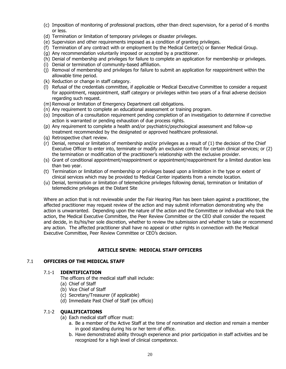- (c) Imposition of monitoring of professional practices, other than direct supervision, for a period of 6 months or less.
- (d) Termination or limitation of temporary privileges or disaster privileges.
- (e) Supervision and other requirements imposed as a condition of granting privileges.
- (f) Termination of any contract with or employment by the Medical Center(s) or Banner Medical Group.
- (g) Any recommendation voluntarily imposed or accepted by a practitioner.
- (h) Denial of membership and privileges for failure to complete an application for membership or privileges.
- (i) Denial or termination of community-based affiliation.
- (j) Removal of membership and privileges for failure to submit an application for reappointment within the allowable time period.
- (k) Reduction or change in staff category.
- (l) Refusal of the credentials committee, if applicable or Medical Executive Committee to consider a request for appointment, reappointment, staff category or privileges within two years of a final adverse decision regarding such request.
- (m) Removal or limitation of Emergency Department call obligations.
- (n) Any requirement to complete an educational assessment or training program.
- (o) Imposition of a consultation requirement pending completion of an investigation to determine if corrective action is warranted or pending exhaustion of due process rights.
- (p) Any requirement to complete a health and/or psychiatric/psychological assessment and follow-up treatment recommended by the designated or approved healthcare professional.
- (q) Retrospective chart review.
- (r) Denial, removal or limitation of membership and/or privileges as a result of (1) the decision of the Chief Executive Officer to enter into, terminate or modify an exclusive contract for certain clinical services; or (2) the termination or modification of the practitioner's relationship with the exclusive provider.
- (s) Grant of conditional appointment/reappointment or appointment/reappointment for a limited duration less than two year.
- (t) Termination or limitation of membership or privileges based upon a limitation in the type or extent of clinical services which may be provided to Medical Center inpatients from a remote location.
- (u) Denial, termination or limitation of telemedicine privileges following denial, termination or limitation of telemedicine privileges at the Distant Site

Where an action that is not reviewable under the Fair Hearing Plan has been taken against a practitioner, the affected practitioner may request review of the action and may submit information demonstrating why the action is unwarranted. Depending upon the nature of the action and the Committee or individual who took the action, the Medical Executive Committee, the Peer Review Committee or the CEO shall consider the request and decide, in its/his/her sole discretion, whether to review the submission and whether to take or recommend any action. The affected practitioner shall have no appeal or other rights in connection with the Medical Executive Committee, Peer Review Committee or CEO's decision.

### **ARTICLE SEVEN: MEDICAL STAFF OFFICERS**

### 7.1 **OFFICERS OF THE MEDICAL STAFF**

#### 7.1-1 **IDENTIFICATION**

The officers of the medical staff shall include:

- (a) Chief of Staff
- (b) Vice Chief of Staff
- (c) Secretary/Treasurer (if applicable)
- (d) Immediate Past Chief of Staff (ex officio)

### 7.1-2 **QUALIFICATIONS**

- (a) Each medical staff officer must:
	- a. Be a member of the Active Staff at the time of nomination and election and remain a member in good standing during his or her term of office.
	- b. Have demonstrated ability through experience and prior participation in staff activities and be recognized for a high level of clinical competence.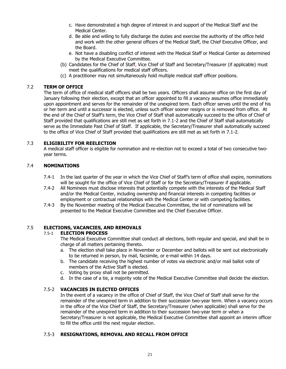- c. Have demonstrated a high degree of interest in and support of the Medical Staff and the Medical Center.
- d. Be able and willing to fully discharge the duties and exercise the authority of the office held and work with the other general officers of the Medical Staff, the Chief Executive Officer, and the Board.
- e. Not have a disabling conflict of interest with the Medical Staff or Medical Center as determined by the Medical Executive Committee.
- (b) Candidates for the Chief of Staff, Vice Chief of Staff and Secretary/Treasurer (if applicable) must meet the qualifications for medical staff officers.
- (c) A practitioner may not simultaneously hold multiple medical staff officer positions.

### 7.2 **TERM OF OFFICE**

The term of office of medical staff officers shall be two years. Officers shall assume office on the first day of January following their election, except that an officer appointed to fill a vacancy assumes office immediately upon appointment and serves for the remainder of the unexpired term. Each officer serves until the end of his or her term and until a successor is elected, unless such officer sooner resigns or is removed from office. At the end of the Chief of Staff's term, the Vice Chief of Staff shall automatically succeed to the office of Chief of Staff provided that qualifications are still met as set forth in 7.1-2 and the Chief of Staff shall automatically serve as the Immediate Past Chief of Staff. If applicable, the Secretary/Treasurer shall automatically succeed to the office of Vice Chief of Staff provided that qualifications are still met as set forth in 7.1-2.

### 7.3 **ELIGIBILITY FOR REELECTION**

A medical staff officer is eligible for nomination and re-election not to exceed a total of two consecutive twoyear terms.

### 7.4 **NOMINATIONS**

- 7.4-1 In the last quarter of the year in which the Vice Chief of Staff's term of office shall expire, nominations will be sought for the office of Vice Chief of Staff or for the Secretary/Treasurer if applicable.
- 7.4-2 All Nominees must disclose interests that potentially compete with the interests of the Medical Staff and/or the Medical Center, including ownership and financial interests in competing facilities or employment or contractual relationships with the Medical Center or with competing facilities.
- 7.4-3 By the November meeting of the Medical Executive Committee, the list of nominations will be presented to the Medical Executive Committee and the Chief Executive Officer.

### 7.5 **ELECTIONS, VACANCIES, AND REMOVALS**

### 7.5-1 **ELECTION PROCESS**

The Medical Executive Committee shall conduct all elections, both regular and special, and shall be in charge of all matters pertaining thereto.

- a. The election shall take place in November or December and ballots will be sent out electronically to be returned in person, by mail, facsimile, or e-mail within 14 days.
- b. The candidate receiving the highest number of votes via electronic and/or mail ballot vote of members of the Active Staff is elected.
- c. Voting by proxy shall not be permitted.
- d. In the case of a tie, a majority vote of the Medical Executive Committee shall decide the election.

### 7.5-2 **VACANCIES IN ELECTED OFFICES**

In the event of a vacancy in the office of Chief of Staff, the Vice Chief of Staff shall serve for the remainder of the unexpired term in addition to their succession two-year term. When a vacancy occurs in the office of the Vice Chief of Staff, the Secretary/Treasurer (when applicable) shall serve for the remainder of the unexpired term in addition to their succession two-year term or when a Secretary/Treasurer is not applicable, the Medical Executive Committee shall appoint an interim officer to fill the office until the next regular election.

### 7.5-3 **RESIGNATIONS, REMOVAL AND RECALL FROM OFFICE**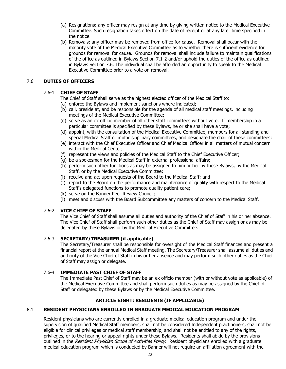- (a) Resignations: any officer may resign at any time by giving written notice to the Medical Executive Committee. Such resignation takes effect on the date of receipt or at any later time specified in the notice.
- (b) Removals: any officer may be removed from office for cause. Removal shall occur with the majority vote of the Medical Executive Committee as to whether there is sufficient evidence for grounds for removal for cause. Grounds for removal shall include failure to maintain qualifications of the office as outlined in Bylaws Section 7.1-2 and/or uphold the duties of the office as outlined in Bylaws Section 7.6. The individual shall be afforded an opportunity to speak to the Medical Executive Committee prior to a vote on removal.

### 7.6 **DUTIES OF OFFICERS**

### 7.6-1 **CHIEF OF STAFF**

- The Chief of Staff shall serve as the highest elected officer of the Medical Staff to:
- (a) enforce the Bylaws and implement sanctions where indicated;
- (b) call, preside at, and be responsible for the agenda of all medical staff meetings, including meetings of the Medical Executive Committee;
- (c) serve as an ex officio member of all other staff committees without vote. If membership in a particular committee is specified by these Bylaws, he or she shall have a vote;
- (d) appoint, with the consultation of the Medical Executive Committee, members for all standing and special Medical Staff or multidisciplinary committees, and designate the chair of these committees;
- (e) interact with the Chief Executive Officer and Chief Medical Officer in all matters of mutual concern within the Medical Center;
- (f) represent the views and policies of the Medical Staff to the Chief Executive Officer;
- (g) be a spokesman for the Medical Staff in external professional affairs;
- (h) perform such other functions as may be assigned to him or her by these Bylaws, by the Medical Staff, or by the Medical Executive Committee;
- (i) receive and act upon requests of the Board to the Medical Staff; and
- (j) report to the Board on the performance and maintenance of quality with respect to the Medical Staff's delegated functions to promote quality patient care;
- (k) serve on the Banner Peer Review Council;
- (l) meet and discuss with the Board Subcommittee any matters of concern to the Medical Staff.

### 7.6-2 **VICE CHIEF OF STAFF**

The Vice Chief of Staff shall assume all duties and authority of the Chief of Staff in his or her absence. The Vice Chief of Staff shall perform such other duties as the Chief of Staff may assign or as may be delegated by these Bylaws or by the Medical Executive Committee.

### 7.6-3 **SECRETARY/TREASURER (if applicable)**

The Secretary/Treasurer shall be responsible for oversight of the Medical Staff finances and present a financial report at the annual Medical Staff meeting. The Secretary/Treasurer shall assume all duties and authority of the Vice Chief of Staff in his or her absence and may perform such other duties as the Chief of Staff may assign or delegate.

### 7.6-4 **IMMEDIATE PAST CHIEF OF STAFF**

The Immediate Past Chief of Staff may be an ex officio member (with or without vote as applicable) of the Medical Executive Committee and shall perform such duties as may be assigned by the Chief of Staff or delegated by these Bylaws or by the Medical Executive Committee.

### **ARTICLE EIGHT: RESIDENTS (IF APPLICABLE)**

### 8.1 **RESIDENT PHYSICIANS ENROLLED IN GRADUATE MEDICAL EDUCATION PROGRAM**

Resident physicians who are currently enrolled in a graduate medical education program and under the supervision of qualified Medical Staff members, shall not be considered Independent practitioners, shall not be eligible for clinical privileges or medical staff membership, and shall not be entitled to any of the rights, privileges, or to the hearing or appeal rights under these Bylaws. Residents shall abide by the provisions outlined in the Resident Physician Scope of Activities Policy. Resident physicians enrolled with a graduate medical education program which is conducted by Banner will not require an affiliation agreement with the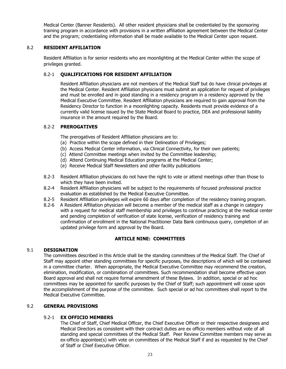Medical Center (Banner Residents). All other resident physicians shall be credentialed by the sponsoring training program in accordance with provisions in a written affiliation agreement between the Medical Center and the program; credentialing information shall be made available to the Medical Center upon request.

### 8.2 **RESIDENT AFFILIATION**

Resident Affiliation is for senior residents who are moonlighting at the Medical Center within the scope of privileges granted.

### 8.2-1 **QUALIFICATIONS FOR RESIDENT AFFILIATION**

Resident Affiliation physicians are not members of the Medical Staff but do have clinical privileges at the Medical Center. Resident Affiliation physicians must submit an application for request of privileges and must be enrolled and in good standing in a residency program in a residency approved by the Medical Executive Committee. Resident Affiliation physicians are required to gain approval from the Residency Director to function in a moonlighting capacity. Residents must provide evidence of a currently valid license issued by the State Medical Board to practice, DEA and professional liability insurance in the amount required by the Board.

### 8.2-2 **PREROGATIVES**

The prerogatives of Resident Affiliation physicians are to:

- (a) Practice within the scope defined in their Delineation of Privileges;
- (b) Access Medical Center information, via Clinical Connectivity, for their own patients;
- (c) Attend Committee meetings when invited by the Committee leadership;
- (d) Attend Continuing Medical Education programs at the Medical Center;
- (e) Receive Medical Staff Newsletters and other facility publications
- 8.2-3 Resident Affiliation physicians do not have the right to vote or attend meetings other than those to which they have been invited.
- 8.2-4 Resident Affiliation physicians will be subject to the requirements of focused professional practice evaluation as established by the Medical Executive Committee.
- 8.2-5 Resident Affiliation privileges will expire 60 days after completion of the residency training program.
- 8.2-6 A Resident Affiliation physician will become a member of the medical staff as a change in category with a request for medical staff membership and privileges to continue practicing at the medical center and pending completion of verification of state license, verification of residency training and confirmation of enrollment in the National Practitioner Data Bank continuous query, completion of an updated privilege form and approval by the Board.

### **ARTICLE NINE: COMMITTEES**

### 9.1 **DESIGNATION**

The committees described in this Article shall be the standing committees of the Medical Staff. The Chief of Staff may appoint other standing committees for specific purposes, the descriptions of which will be contained in a committee charter. When appropriate, the Medical Executive Committee may recommend the creation, elimination, modification, or combination of committees. Such recommendation shall become effective upon Board approval and shall not require formal amendment of these Bylaws. In addition, special or ad hoc committees may be appointed for specific purposes by the Chief of Staff; such appointment will cease upon the accomplishment of the purpose of the committee. Such special or ad hoc committees shall report to the Medical Executive Committee.

### 9.2 **GENERAL PROVISIONS**

### 9.2-1 **EX OFFICIO MEMBERS**

The Chief of Staff, Chief Medical Officer, the Chief Executive Officer or their respective designees and Medical Directors as consistent with their contract duties are ex officio members without vote of all standing and special committees of the Medical Staff. Peer Review Committee members may serve as ex-officio appointee(s) with vote on committees of the Medical Staff if and as requested by the Chief of Staff or Chief Executive Officer.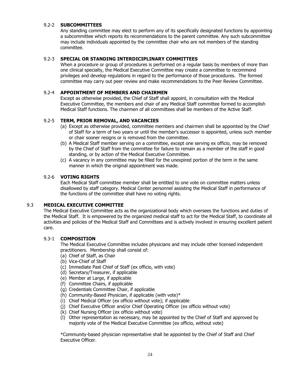### 9.2-2 **SUBCOMMITTEES**

Any standing committee may elect to perform any of its specifically designated functions by appointing a subcommittee which reports its recommendations to the parent committee. Any such subcommittee may include individuals appointed by the committee chair who are not members of the standing committee.

### 9.2-3 **SPECIAL OR STANDING INTERDICIPLINARY COMMITTEES**

When a procedure or group of procedures is performed on a regular basis by members of more than one clinical specialty, the Medical Executive Committee may create a committee to recommend privileges and develop regulations in regard to the performance of those procedures. The formed committee may carry out peer review and make recommendations to the Peer Review Committee.

### 9.2-4 **APPOINTMENT OF MEMBERS AND CHAIRMEN**

Except as otherwise provided, the Chief of Staff shall appoint, in consultation with the Medical Executive Committee, the members and chair of any Medical Staff committee formed to accomplish Medical Staff functions. The chairmen of all committees shall be members of the Active Staff.

### 9.2-5 **TERM, PRIOR REMOVAL, AND VACANCIES**

- (a) Except as otherwise provided, committee members and chairmen shall be appointed by the Chief of Staff for a term of two years or until the member's successor is appointed, unless such member or chair sooner resigns or is removed from the committee.
- (b) A Medical Staff member serving on a committee, except one serving ex officio, may be removed by the Chief of Staff from the committee for failure to remain as a member of the staff in good standing, or by action of the Medical Executive Committee.
- (c) A vacancy in any committee may be filled for the unexpired portion of the term in the same manner in which the original appointment was made.

### 9.2-6 **VOTING RIGHTS**

Each Medical Staff committee member shall be entitled to one vote on committee matters unless disallowed by staff category. Medical Center personnel assisting the Medical Staff in performance of the functions of the committee shall have no voting rights.

### 9.3 **MEDICAL EXECUTIVE COMMITTEE**

The Medical Executive Committee acts as the organizational body which oversees the functions and duties of the Medical Staff. It is empowered by the organized medical staff to act for the Medical Staff, to coordinate all activities and policies of the Medical Staff and Committees and is actively involved in ensuring excellent patient care.

### 9.3-1 **COMPOSITION**

The Medical Executive Committee includes physicians and may include other licensed independent practitioners. Membership shall consist of:

- (a) Chief of Staff, as Chair
- (b) Vice-Chief of Staff
- (c) Immediate Past Chief of Staff (ex officio, with vote)
- (d) Secretary/Treasurer, if applicable
- (e) Member at Large, if applicable
- (f) Committee Chairs, if applicable
- (g) Credentials Committee Chair, if applicable
- (h) Community-Based Physician, if applicable (with vote)\*
- (i) Chief Medical Officer (ex officio without vote); if applicable
- (j) Chief Executive Officer and/or Chief Operating Officer (ex officio without vote)
- (k) Chief Nursing Officer (ex officio without vote)
- (l) Other representation as necessary, may be appointed by the Chief of Staff and approved by majority vote of the Medical Executive Committee (ex officio, without vote)

\*Community-based physician representative shall be appointed by the Chief of Staff and Chief Executive Officer.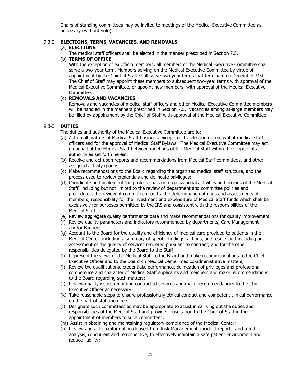Chairs of standing committees may be invited to meetings of the Medical Executive Committee as necessary (without vote).

### 9.3-2 **ELECTIONS, TERMS, VACANCIES, AND REMOVALS**

### (a) **ELECTIONS**

The medical staff officers shall be elected in the manner prescribed in Section 7.5.

### (b) **TERMS OF OFFICE**

With the exception of ex officio members, all members of the Medical Executive Committee shall serve a two-year term. Members serving on the Medical Executive Committee by virtue of appointment by the Chief of Staff shall serve two-year terms that terminate on December 31st. The Chief of Staff may appoint these members to subsequent two-year terms with approval of the Medical Executive Committee, or appoint new members, with approval of the Medical Executive Committee.

### (c) **REMOVALS AND VACANCIES**

Removals and vacancies of medical staff officers and other Medical Executive Committee members will be handled in the manners prescribed in Section 7.5. Vacancies among at-large members may be filled by appointment by the Chief of Staff with approval of the Medical Executive Committee.

### 9.3-3 **DUTIES**

The duties and authority of the Medical Executive Committee are to:

- (a) Act on all matters of Medical Staff business, except for the election or removal of medical staff officers and for the approval of Medical Staff Bylaws. The Medical Executive Committee may act on behalf of the Medical Staff between meetings of the Medical Staff within the scope of its authority as set forth herein;
- (b) Receive and act upon reports and recommendations from Medical Staff committees, and other assigned activity groups;
- (c) Make recommendations to the Board regarding the organized medical staff structure, and the process used to review credentials and delineate privileges;
- (d) Coordinate and implement the professional and organizational activities and policies of the Medical Staff, including but not limited to the review of department and committee policies and procedures, the review of committee reports, the determination of dues and assessments of members; responsibility for the investment and expenditure of Medical Staff funds which shall be exclusively for purposes permitted by the IRS and consistent with the responsibilities of the Medical Staff;
- (e) Review aggregate quality performance data and make recommendations for quality improvement;
- (f) Review quality parameters and indicators recommended by departments, Care Management and/or Banner;
- (g) Account to the Board for the quality and efficiency of medical care provided to patients in the Medical Center, including a summary of specific findings, actions, and results and including an assessment of the quality of services rendered pursuant to contract; and for the other responsibilities delegated by the Board to the Staff;
- (h) Represent the views of the Medical Staff to the Board and make recommendations to the Chief Executive Officer and to the Board on Medical Center medico-administrative matters;
- (i) Review the qualifications, credentials, performance, delineation of privileges and professional competence and character of Medical Staff applicants and members and make recommendations to the Board regarding such matters;
- (j) Review quality issues regarding contracted services and make recommendations to the Chief Executive Officer as necessary;
- (k) Take reasonable steps to ensure professionally ethical conduct and competent clinical performance on the part of staff members;
- (l) Designate such committees as may be appropriate to assist in carrying out the duties and responsibilities of the Medical Staff and provide consultation to the Chief of Staff in the appointment of members to such committees;
- (m) Assist in obtaining and maintaining regulatory compliance of the Medical Center;
- (n) Review and act on information derived from Risk Management, incident reports, and trend analysis, concurrent and retrospective, to effectively maintain a safe patient environment and reduce liability;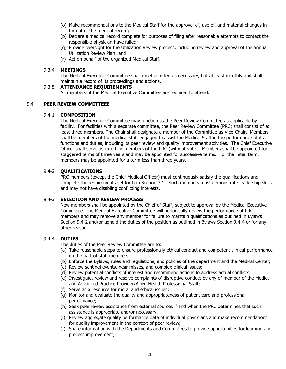- (o) Make recommendations to the Medical Staff for the approval of, use of, and material changes in format of the medical record;
- (p) Declare a medical record complete for purposes of filing after reasonable attempts to contact the responsible physician have failed;
- (q) Provide oversight for the Utilization Review process, including review and approval of the annual Utilization Review Plan; and
- (r) Act on behalf of the organized Medical Staff.

### 9.3-4 **MEETINGS**

The Medical Executive Committee shall meet as often as necessary, but at least monthly and shall maintain a record of its proceedings and actions.

### 9.3-5 **ATTENDANCE REQUIREMENTS**

All members of the Medical Executive Committee are required to attend.

#### 9.4 **PEER REVIEW COMMITTEEE**

#### 9.4-1 **COMPOSITION**

The Medical Executive Committee may function as the Peer Review Committee as applicable by facility. For facilities with a separate committee, the Peer Review Committee (PRC) shall consist of at least three members. The Chair shall designate a member of the Committee as Vice-Chair. Members shall be members of the medical staff engaged to assist the Medical Staff in the performance of its functions and duties, including its peer review and quality improvement activities. The Chief Executive Officer shall serve as ex officio members of the PRC (without vote). Members shall be appointed for staggered terms of three years and may be appointed for successive terms. For the initial term, members may be appointed for a term less than three years.

#### 9.4-2 **QUALIFICATIONS**

PRC members (except the Chief Medical Officer) must continuously satisfy the qualifications and complete the requirements set forth in Section 3.1. Such members must demonstrate leadership skills and may not have disabling conflicting interests.

### 9.4-3 **SELECTION AND REVIEW PROCESS**

New members shall be appointed by the Chief of Staff, subject to approval by the Medical Executive Committee. The Medical Executive Committee will periodically review the performance of PRC members and may remove any member for failure to maintain qualifications as outlined in Bylaws Section 9.4-2 and/or uphold the duties of the position as outlined in Bylaws Section 9.4-4 or for any other reason.

### 9.4-4 **DUTIES**

The duties of the Peer Review Committee are to:

- (a) Take reasonable steps to ensure professionally ethical conduct and competent clinical performance on the part of staff members;
- (b) Enforce the Bylaws, rules and regulations, and policies of the department and the Medical Center;
- (c) Review sentinel events, near misses, and complex clinical issues;
- (d) Review potential conflicts of interest and recommend actions to address actual conflicts;
- (e) Investigate, review and resolve complaints of disruptive conduct by any of member of the Medical and Advanced Practice Provider/Allied Health Professional Staff;
- (f) Serve as a resource for moral and ethical issues;
- (g) Monitor and evaluate the quality and appropriateness of patient care and professional performance;
- (h) Seek peer review assistance from external sources if and when the PRC determines that such assistance is appropriate and/or necessary.
- (i) Review aggregate quality performance data of individual physicians and make recommendations for quality improvement in the context of peer review;
- (j) Share information with the Departments and Committees to provide opportunities for learning and process improvement;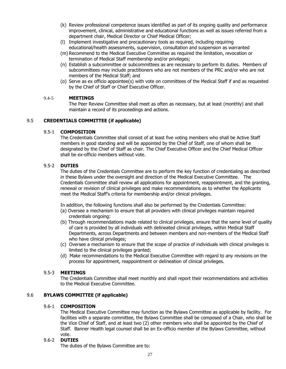- (k) Review professional competence issues identified as part of its ongoing quality and performance improvement, clinical, administrative and educational functions as well as issues referred from a department chair, Medical Director or Chief Medical Officer;
- (l) Implement investigative and precautionary tools as required, including requiring educational/health assessments, supervision, consultation and suspension as warranted
- (m) Recommend to the Medical Executive Committee as required the limitation, revocation or termination of Medical Staff membership and/or privileges;
- (n) Establish a subcommittee or subcommittees as are necessary to perform its duties. Members of subcommittees may include practitioners who are not members of the PRC and/or who are not members of the Medical Staff; and
- (o) Serve as ex officio appointee(s) with vote on committees of the Medical Staff if and as requested by the Chief of Staff or Chief Executive Officer.

### 9.4-5 **MEETINGS**

The Peer Review Committee shall meet as often as necessary, but at least (monthly) and shall maintain a record of its proceedings and actions.

### 9.5 **CREDENTIALS COMMITTEE (if applicable)**

#### 9.5-1 **COMPOSITION**

The Credentials Committee shall consist of at least five voting members who shall be Active Staff members in good standing and will be appointed by the Chief of Staff, one of whom shall be designated by the Chief of Staff as chair. The Chief Executive Officer and the Chief Medical Officer shall be ex-officio members without vote.

### 9.5-2 **DUTIES**

The duties of the Credentials Committee are to perform the key function of credentialing as described in these Bylaws under the oversight and direction of the Medical Executive Committee. The Credentials Committee shall review all applications for appointment, reappointment, and the granting, renewal or revision of clinical privileges and make recommendations as to whether the Applicants meet the Medical Staff's criteria for membership and/or clinical privileges.

In addition, the following functions shall also be performed by the Credentials Committee:

- (a) Oversee a mechanism to ensure that all providers with clinical privileges maintain required credentials ongoing:
- (b) Through recommendations made related to clinical privileges, ensure that the same level of quality of care is provided by all individuals with delineated clinical privileges, within Medical Staff Departments, across Departments and between members and non-members of the Medical Staff who have clinical privileges;
- (c) Oversee a mechanism to ensure that the scope of practice of individuals with clinical privileges is limited to the clinical privileges granted;
- (d) Make recommendations to the Medical Executive Committee with regard to any revisions on the process for appointment, reappointment or delineation of clinical privileges.

### 9.5-3 **MEETINGS**

The Credentials Committee shall meet monthly and shall report their recommendations and activities to the Medical Executive Committee.

### 9.6 **BYLAWS COMMITTEE (if applicable)**

### 9.6-1 **COMPOSITION**

The Medical Executive Committee may function as the Bylaws Committee as applicable by facility. For facilities with a separate committee, the Bylaws Committee shall be composed of a Chair, who shall be the Vice Chief of Staff, and at least two (2) other members who shall be appointed by the Chief of Staff. Banner Health legal counsel shall be an Ex-officio member of the Bylaws Committee, without vote.

### 9.6-2 **DUTIES**

The duties of the Bylaws Committee are to: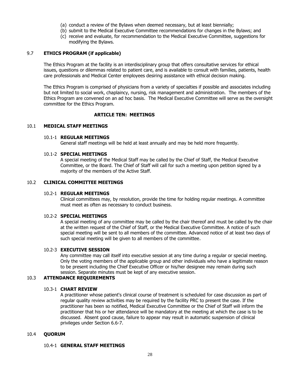- (a) conduct a review of the Bylaws when deemed necessary, but at least biennially;
- (b) submit to the Medical Executive Committee recommendations for changes in the Bylaws; and
- (c) receive and evaluate, for recommendation to the Medical Executive Committee, suggestions for modifying the Bylaws.

### 9.7 **ETHICS PROGRAM (if applicable)**

The Ethics Program at the facility is an interdisciplinary group that offers consultative services for ethical issues, questions or dilemmas related to patient care, and is available to consult with families, patients, health care professionals and Medical Center employees desiring assistance with ethical decision making.

The Ethics Program is comprised of physicians from a variety of specialties if possible and associates including but not limited to social work, chaplaincy, nursing, risk management and administration. The members of the Ethics Program are convened on an ad hoc basis. The Medical Executive Committee will serve as the oversight committee for the Ethics Program.

#### **ARTICLE TEN: MEETINGS**

#### 10.1 **MEDICAL STAFF MEETINGS**

#### 10.1-1 **REGULAR MEETINGS**

General staff meetings will be held at least annually and may be held more frequently.

#### 10.1-2 **SPECIAL MEETINGS**

A special meeting of the Medical Staff may be called by the Chief of Staff, the Medical Executive Committee, or the Board. The Chief of Staff will call for such a meeting upon petition signed by a majority of the members of the Active Staff.

### 10.2 **CLINICAL COMMITTEE MEETINGS**

#### 10.2-1 **REGULAR MEETINGS**

Clinical committees may, by resolution, provide the time for holding regular meetings. A committee must meet as often as necessary to conduct business.

### 10.2-2 **SPECIAL MEETINGS**

A special meeting of any committee may be called by the chair thereof and must be called by the chair at the written request of the Chief of Staff, or the Medical Executive Committee. A notice of such special meeting will be sent to all members of the committee. Advanced notice of at least two days of such special meeting will be given to all members of the committee.

#### 10.2-3 **EXECUTIVE SESSION**

Any committee may call itself into executive session at any time during a regular or special meeting. Only the voting members of the applicable group and other individuals who have a legitimate reason to be present including the Chief Executive Officer or his/her designee may remain during such session. Separate minutes must be kept of any executive session.

### 10.3 **ATTENDANCE REQUIREMENTS**

#### 10.3-1 **CHART REVIEW**

A practitioner whose patient's clinical course of treatment is scheduled for case discussion as part of regular quality review activities may be required by the facility PRC to present the case. If the practitioner has been so notified, Medical Executive Committee or the Chief of Staff will inform the practitioner that his or her attendance will be mandatory at the meeting at which the case is to be discussed. Absent good cause, failure to appear may result in automatic suspension of clinical privileges under Section 6.6-7.

#### 10.4 **QUORUM**

#### 10.4-1 **GENERAL STAFF MEETINGS**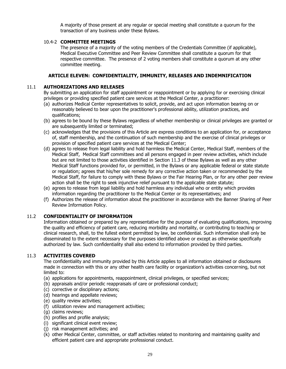A majority of those present at any regular or special meeting shall constitute a quorum for the transaction of any business under these Bylaws.

### 10.4-2 **COMMITTEE MEETINGS**

The presence of a majority of the voting members of the Credentials Committee (if applicable), Medical Executive Committee and Peer Review Committee shall constitute a quorum for that respective committee. The presence of 2 voting members shall constitute a quorum at any other committee meeting.

### **ARTICLE ELEVEN: CONFIDENTIALITY, IMMUNITY, RELEASES AND INDEMNIFICATION**

### 11.1 **AUTHORIZATIONS AND RELEASES**

By submitting an application for staff appointment or reappointment or by applying for or exercising clinical privileges or providing specified patient care services at the Medical Center, a practitioner:

- (a) authorizes Medical Center representatives to solicit, provide, and act upon information bearing on or reasonably believed to bear upon the practitioner's professional ability, utilization practices, and qualifications;
- (b) agrees to be bound by these Bylaws regardless of whether membership or clinical privileges are granted or are subsequently limited or terminated;
- (c) acknowledges that the provisions of this Article are express conditions to an application for, or acceptance of, staff membership, and the continuation of such membership and the exercise of clinical privileges or provision of specified patient care services at the Medical Center;
- (d) agrees to release from legal liability and hold harmless the Medical Center, Medical Staff, members of the Medical Staff, Medical Staff committees and all persons engaged in peer review activities, which include but are not limited to those activities identified in Section 11.3 of these Bylaws as well as any other Medical Staff functions provided for, or permitted, in the Bylaws or any applicable federal or state statute or regulation; agrees that his/her sole remedy for any corrective action taken or recommended by the Medical Staff, for failure to comply with these Bylaws or the Fair Hearing Plan, or for any other peer review action shall be the right to seek injunctive relief pursuant to the applicable state statute;
- (e) agrees to release from legal liability and hold harmless any individual who or entity which provides information regarding the practitioner to the Medical Center or its representatives; and
- (f) Authorizes the release of information about the practitioner in accordance with the Banner Sharing of Peer Review Information Policy.

### 11.2 **CONFIDENTIALITY OF INFORMATION**

Information obtained or prepared by any representative for the purpose of evaluating qualifications, improving the quality and efficiency of patient care, reducing morbidity and mortality, or contributing to teaching or clinical research, shall, to the fullest extent permitted by law, be confidential. Such information shall only be disseminated to the extent necessary for the purposes identified above or except as otherwise specifically authorized by law. Such confidentiality shall also extend to information provided by third parties.

### 11.3 **ACTIVITIES COVERED**

The confidentiality and immunity provided by this Article applies to all information obtained or disclosures made in connection with this or any other health care facility or organization's activities concerning, but not limited to:

- (a) applications for appointments, reappointment, clinical privileges, or specified services;
- (b) appraisals and/or periodic reappraisals of care or professional conduct;
- (c) corrective or disciplinary actions;
- (d) hearings and appellate reviews;
- (e) quality review activities;
- (f) utilization review and management activities;
- (g) claims reviews;
- (h) profiles and profile analysis;
- (i) significant clinical event review;
- (j) risk management activities; and
- (k) other Medical Center, committee, or staff activities related to monitoring and maintaining quality and efficient patient care and appropriate professional conduct.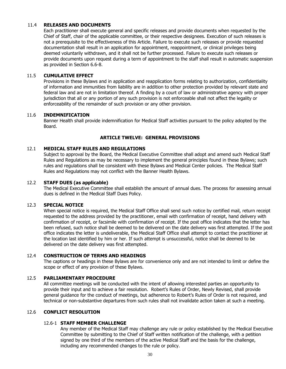### 11.4 **RELEASES AND DOCUMENTS**

Each practitioner shall execute general and specific releases and provide documents when requested by the Chief of Staff, chair of the applicable committee, or their respective designees. Execution of such releases is not a prerequisite to the effectiveness of this Article. Failure to execute such releases or provide requested documentation shall result in an application for appointment, reappointment, or clinical privileges being deemed voluntarily withdrawn, and it shall not be further processed. Failure to execute such releases or provide documents upon request during a term of appointment to the staff shall result in automatic suspension as provided in Section 6.6-8.

#### 11.5 **CUMULATIVE EFFECT**

Provisions in these Bylaws and in application and reapplication forms relating to authorization, confidentiality of information and immunities from liability are in addition to other protection provided by relevant state and federal law and are not in limitation thereof. A finding by a court of law or administrative agency with proper jurisdiction that all or any portion of any such provision is not enforceable shall not affect the legality or enforceability of the remainder of such provision or any other provision.

#### 11.6 **INDEMNIFICATION**

Banner Health shall provide indemnification for Medical Staff activities pursuant to the policy adopted by the Board.

#### **ARTICLE TWELVE: GENERAL PROVISIONS**

#### 12.1 **MEDICAL STAFF RULES AND REGULATIONS**

Subject to approval by the Board, the Medical Executive Committee shall adopt and amend such Medical Staff Rules and Regulations as may be necessary to implement the general principles found in these Bylaws; such rules and regulations shall be consistent with these Bylaws and Medical Center policies. The Medical Staff Rules and Regulations may not conflict with the Banner Health Bylaws.

#### 12.2 **STAFF DUES (as applicable)**

The Medical Executive Committee shall establish the amount of annual dues. The process for assessing annual dues is defined in the Medical Staff Dues Policy.

#### 12.3 **SPECIAL NOTICE**

When special notice is required, the Medical Staff Office shall send such notice by certified mail, return receipt requested to the address provided by the practitioner, email with confirmation of receipt, hand delivery with confirmation of receipt, or facsimile with confirmation of receipt. If the post office indicates that the letter has been refused, such notice shall be deemed to be delivered on the date delivery was first attempted. If the post office indicates the letter is undeliverable, the Medical Staff Office shall attempt to contact the practitioner at the location last identified by him or her. If such attempt is unsuccessful, notice shall be deemed to be delivered on the date delivery was first attempted.

#### 12.4 **CONSTRUCTION OF TERMS AND HEADINGS**

The captions or headings in these Bylaws are for convenience only and are not intended to limit or define the scope or effect of any provision of these Bylaws.

### 12.5 **PARLIAMENTARY PROCEDURE**

All committee meetings will be conducted with the intent of allowing interested parties an opportunity to provide their input and to achieve a fair resolution. Robert's Rules of Order, Newly Revised, shall provide general guidance for the conduct of meetings, but adherence to Robert's Rules of Order is not required, and technical or non-substantive departures from such rules shall not invalidate action taken at such a meeting.

#### 12.6 **CONFLICT RESOLUTION**

#### 12.6-1 **STAFF MEMBER CHALLENGE**

Any member of the Medical Staff may challenge any rule or policy established by the Medical Executive Committee by submitting to the Chief of Staff written notification of the challenge, with a petition signed by one third of the members of the active Medical Staff and the basis for the challenge, including any recommended changes to the rule or policy.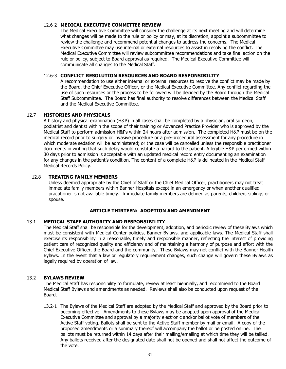### 12.6-2 **MEDICAL EXECUTIVE COMMITTEE REVIEW**

The Medical Executive Committee will consider the challenge at its next meeting and will determine what changes will be made to the rule or policy or may, at its discretion, appoint a subcommittee to review the challenge and recommend potential changes to address the concerns. The Medical Executive Committee may use internal or external resources to assist in resolving the conflict. The Medical Executive Committee will review subcommittee recommendations and take final action on the rule or policy, subject to Board approval as required. The Medical Executive Committee will communicate all changes to the Medical Staff.

### 12.6-3 **CONFLICT RESOLUTION RESOURCES AND BOARD RESPONSIBILITY**

A recommendation to use either internal or external resources to resolve the conflict may be made by the Board, the Chief Executive Officer, or the Medical Executive Committee. Any conflict regarding the use of such resources or the process to be followed will be decided by the Board through the Medical Staff Subcommittee. The Board has final authority to resolve differences between the Medical Staff and the Medical Executive Committee.

### 12.7 **HISTORIES AND PHYSICALS**

A history and physical examination (H&P) in all cases shall be completed by a physician, oral surgeon, podiatrist and dentist within the scope of their training or Advanced Practice Provider who is approved by the Medical Staff to perform admission H&Ps within 24 hours after admission. The completed H&P must be on the medical record prior to surgery or invasive procedure or a pre-procedural assessment for any procedure in which moderate sedation will be administered; or the case will be cancelled unless the responsible practitioner documents in writing that such delay would constitute a hazard to the patient. A legible H&P performed within 30 days prior to admission is acceptable with an updated medical record entry documenting an examination for any changes in the patient's condition. The content of a complete H&P is delineated in the Medical Staff Medical Records Policy.

### 12.8 **TREATING FAMILY MEMBERS**

Unless deemed appropriate by the Chief of Staff or the Chief Medical Officer, practitioners may not treat immediate family members within Banner Hospitals except in an emergency or when another qualified practitioner is not available timely. Immediate family members are defined as parents, children, siblings or spouse.

### **ARTICLE THIRTEEN: ADOPTION AND AMENDMENT**

### 13.1 **MEDICAL STAFF AUTHORITY AND RESPONSIBILITY**

The Medical Staff shall be responsible for the development, adoption, and periodic review of these Bylaws which must be consistent with Medical Center policies, Banner Bylaws, and applicable laws. The Medical Staff shall exercise its responsibility in a reasonable, timely and responsible manner, reflecting the interest of providing patient care of recognized quality and efficiency and of maintaining a harmony of purpose and effort with the Chief Executive Officer, the Board and the community. These Bylaws may not conflict with the Banner Health Bylaws. In the event that a law or regulatory requirement changes, such change will govern these Bylaws as legally required by operation of law.

### 13.2 **BYLAWS REVIEW**

The Medical Staff has responsibility to formulate, review at least biennially, and recommend to the Board Medical Staff Bylaws and amendments as needed. Reviews shall also be conducted upon request of the Board.

13.2-1 The Bylaws of the Medical Staff are adopted by the Medical Staff and approved by the Board prior to becoming effective. Amendments to these Bylaws may be adopted upon approval of the Medical Executive Committee and approval by a majority electronic and/or ballot vote of members of the Active Staff voting. Ballots shall be sent to the Active Staff member by mail or email. A copy of the proposed amendments or a summary thereof will accompany the ballot or be posted online. The ballots must be returned within 14 days after their mailing/emailing at which time they will be tallied. Any ballots received after the designated date shall not be opened and shall not affect the outcome of the vote.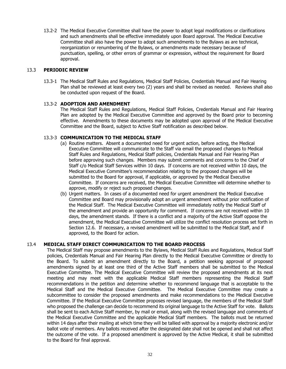13.2-2 The Medical Executive Committee shall have the power to adopt legal modifications or clarifications and such amendments shall be effective immediately upon Board approval. The Medical Executive Committee shall also have the power to adopt such amendments to the Bylaws as are technical, reorganization or renumbering of the Bylaws, or amendments made necessary because of punctuation, spelling, or other errors of grammar or expression, without the requirement for Board approval.

### 13.3 **PERIODIC REVIEW**

13.3-1 The Medical Staff Rules and Regulations, Medical Staff Policies, Credentials Manual and Fair Hearing Plan shall be reviewed at least every two (2) years and shall be revised as needed. Reviews shall also be conducted upon request of the Board.

#### 13.3-2 **ADOPTION AND AMENDMENT**

The Medical Staff Rules and Regulations, Medical Staff Policies, Credentials Manual and Fair Hearing Plan are adopted by the Medical Executive Committee and approved by the Board prior to becoming effective. Amendments to these documents may be adopted upon approval of the Medical Executive Committee and the Board, subject to Active Staff notification as described below.

#### 13.3-3 **COMMUNICATION TO THE MEDICAL STAFF**

- (a) Routine matters. Absent a documented need for urgent action, before acting, the Medical Executive Committee will communicate to the Staff via email the proposed changes to Medical Staff Rules and Regulations, Medical Staff policies, Credentials Manual and Fair Hearing Plan before approving such changes. Members may submit comments and concerns to the Chief of Staff c/o Medical Staff Services within 10 days. If concerns are not received within 10 days, the Medical Executive Committee's recommendation relating to the proposed changes will be submitted to the Board for approval, if applicable, or approved by the Medical Executive Committee. If concerns are received, the Medical Executive Committee will determine whether to approve, modify or reject such proposed changes.
- (b) Urgent matters. In cases of a documented need for urgent amendment the Medical Executive Committee and Board may provisionally adopt an urgent amendment without prior notification of the Medical Staff. The Medical Executive Committee will immediately notify the Medical Staff of the amendment and provide an opportunity for comment. If concerns are not received within 10 days, the amendment stands. If there is a conflict and a majority of the Active Staff oppose the amendment, the Medical Executive Committee will utilize the conflict resolution process set forth in Section 12.6. If necessary, a revised amendment will be submitted to the Medical Staff, and if approved, to the Board for action.

### 13.4 **MEDICAL STAFF DIRECT COMMUNICATION TO THE BOARD PROCESS**

The Medical Staff may propose amendments to the Bylaws, Medical Staff Rules and Regulations, Medical Staff policies, Credentials Manual and Fair Hearing Plan directly to the Medical Executive Committee or directly to the Board. To submit an amendment directly to the Board, a petition seeking approval of proposed amendments signed by at least one third of the Active Staff members shall be submitted to the Medical Executive Committee. The Medical Executive Committee will review the proposed amendments at its next meeting and may meet with the applicable Medical Staff members representing the Medical Staff recommendations in the petition and determine whether to recommend language that is acceptable to the Medical Staff and the Medical Executive Committee. The Medical Executive Committee may create a subcommittee to consider the proposed amendments and make recommendations to the Medical Executive Committee. If the Medical Executive Committee proposes revised language, the members of the Medical Staff who proposed the challenge can decide to recommend its original language to the Active Staff for vote. Ballots shall be sent to each Active Staff member, by mail or email, along with the revised language and comments of the Medical Executive Committee and the applicable Medical Staff members. The ballots must be returned within 14 days after their mailing at which time they will be tallied with approval by a majority electronic and/or ballot vote of members. Any ballots received after the designated date shall not be opened and shall not affect the outcome of the vote. If a proposed amendment is approved by the Active Medical, it shall be submitted to the Board for final approval.